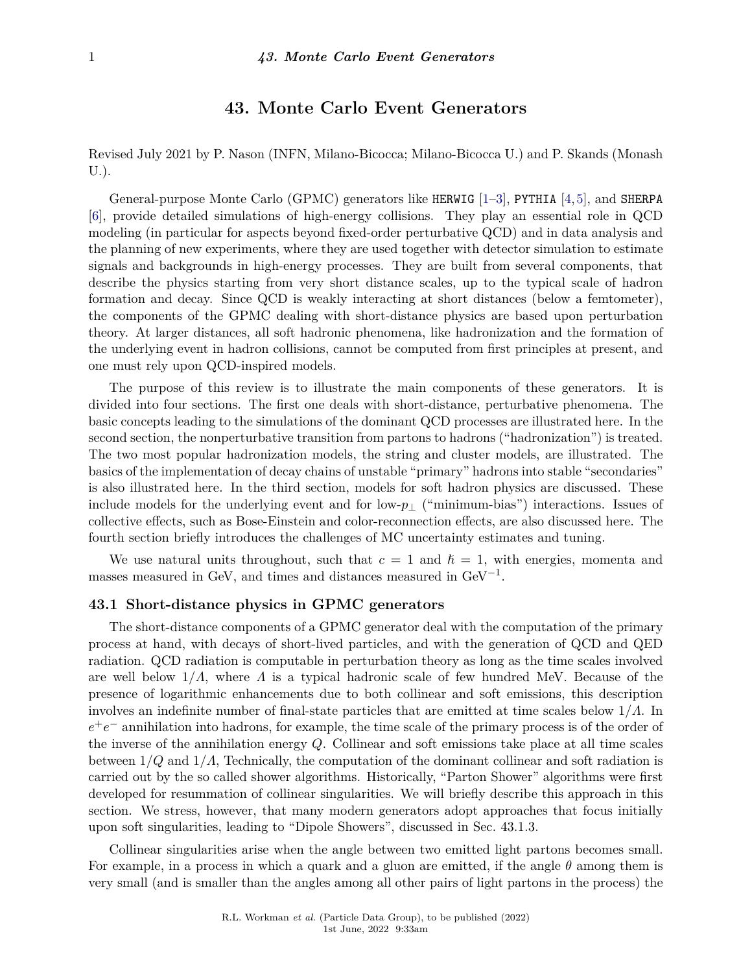# **43. Monte Carlo Event Generators**

Revised July 2021 by P. Nason (INFN, Milano-Bicocca; Milano-Bicocca U.) and P. Skands (Monash U.).

General-purpose Monte Carlo (GPMC) generators like HERWIG [\[1](#page-20-0)[–3\]](#page-20-1), PYTHIA [\[4,](#page-20-2)[5\]](#page-21-0), and SHERPA [\[6\]](#page-21-1), provide detailed simulations of high-energy collisions. They play an essential role in QCD modeling (in particular for aspects beyond fixed-order perturbative QCD) and in data analysis and the planning of new experiments, where they are used together with detector simulation to estimate signals and backgrounds in high-energy processes. They are built from several components, that describe the physics starting from very short distance scales, up to the typical scale of hadron formation and decay. Since QCD is weakly interacting at short distances (below a femtometer), the components of the GPMC dealing with short-distance physics are based upon perturbation theory. At larger distances, all soft hadronic phenomena, like hadronization and the formation of the underlying event in hadron collisions, cannot be computed from first principles at present, and one must rely upon QCD-inspired models.

The purpose of this review is to illustrate the main components of these generators. It is divided into four sections. The first one deals with short-distance, perturbative phenomena. The basic concepts leading to the simulations of the dominant QCD processes are illustrated here. In the second section, the nonperturbative transition from partons to hadrons ("hadronization") is treated. The two most popular hadronization models, the string and cluster models, are illustrated. The basics of the implementation of decay chains of unstable "primary" hadrons into stable "secondaries" is also illustrated here. In the third section, models for soft hadron physics are discussed. These include models for the underlying event and for low-*p*<sup>⊥</sup> ("minimum-bias") interactions. Issues of collective effects, such as Bose-Einstein and color-reconnection effects, are also discussed here. The fourth section briefly introduces the challenges of MC uncertainty estimates and tuning.

We use natural units throughout, such that  $c = 1$  and  $\hbar = 1$ , with energies, momenta and masses measured in GeV, and times and distances measured in  $\text{GeV}^{-1}$ .

#### **43.1 Short-distance physics in GPMC generators**

The short-distance components of a GPMC generator deal with the computation of the primary process at hand, with decays of short-lived particles, and with the generation of QCD and QED radiation. QCD radiation is computable in perturbation theory as long as the time scales involved are well below 1*/Λ*, where *Λ* is a typical hadronic scale of few hundred MeV. Because of the presence of logarithmic enhancements due to both collinear and soft emissions, this description involves an indefinite number of final-state particles that are emitted at time scales below 1*/Λ*. In *e*<sup>+</sup>*e*<sup>−</sup> annihilation into hadrons, for example, the time scale of the primary process is of the order of the inverse of the annihilation energy *Q*. Collinear and soft emissions take place at all time scales between 1*/Q* and 1*/Λ*, Technically, the computation of the dominant collinear and soft radiation is carried out by the so called shower algorithms. Historically, "Parton Shower" algorithms were first developed for resummation of collinear singularities. We will briefly describe this approach in this section. We stress, however, that many modern generators adopt approaches that focus initially upon soft singularities, leading to "Dipole Showers", discussed in Sec. 43.1.3.

Collinear singularities arise when the angle between two emitted light partons becomes small. For example, in a process in which a quark and a gluon are emitted, if the angle *θ* among them is very small (and is smaller than the angles among all other pairs of light partons in the process) the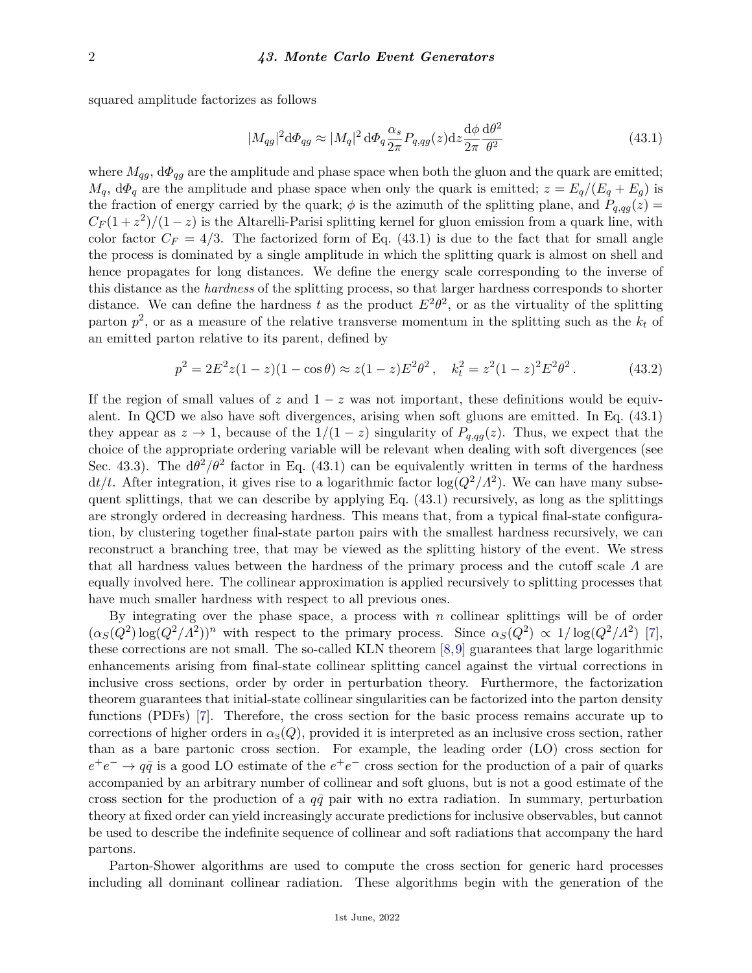squared amplitude factorizes as follows

$$
|M_{qg}|^2 \mathrm{d}\Phi_{qg} \approx |M_q|^2 \mathrm{d}\Phi_q \frac{\alpha_s}{2\pi} P_{q,qg}(z) \mathrm{d}z \frac{\mathrm{d}\phi}{2\pi} \frac{\mathrm{d}\theta^2}{\theta^2} \tag{43.1}
$$

where  $M_{qg}$ ,  $d\Phi_{qg}$  are the amplitude and phase space when both the gluon and the quark are emitted; *M*<sub>*q*</sub>, d $Φ$ <sup>*q*</sup> are the amplitude and phase space when only the quark is emitted; *z* =  $E_q/(E_q + E_q)$  is the fraction of energy carried by the quark;  $\phi$  is the azimuth of the splitting plane, and  $P_{q,qq}(z)$  $C_F(1+z^2)/(1-z)$  is the Altarelli-Parisi splitting kernel for gluon emission from a quark line, with color factor  $C_F = 4/3$ . The factorized form of Eq. (43.1) is due to the fact that for small angle the process is dominated by a single amplitude in which the splitting quark is almost on shell and hence propagates for long distances. We define the energy scale corresponding to the inverse of this distance as the *hardness* of the splitting process, so that larger hardness corresponds to shorter distance. We can define the hardness *t* as the product  $E^2\theta^2$ , or as the virtuality of the splitting parton  $p^2$ , or as a measure of the relative transverse momentum in the splitting such as the  $k_t$  of an emitted parton relative to its parent, defined by

$$
p^2 = 2E^2z(1-z)(1-\cos\theta) \approx z(1-z)E^2\theta^2, \quad k_t^2 = z^2(1-z)^2E^2\theta^2. \tag{43.2}
$$

If the region of small values of  $z$  and  $1-z$  was not important, these definitions would be equivalent. In QCD we also have soft divergences, arising when soft gluons are emitted. In Eq. (43.1) they appear as  $z \to 1$ , because of the  $1/(1-z)$  singularity of  $P_{q,qq}(z)$ . Thus, we expect that the choice of the appropriate ordering variable will be relevant when dealing with soft divergences (see Sec. 43.3). The  $d\theta^2/\theta^2$  factor in Eq. (43.1) can be equivalently written in terms of the hardness d*t/t*. After integration, it gives rise to a logarithmic factor log(*Q*2*/Λ*<sup>2</sup> ). We can have many subsequent splittings, that we can describe by applying Eq. (43.1) recursively, as long as the splittings are strongly ordered in decreasing hardness. This means that, from a typical final-state configuration, by clustering together final-state parton pairs with the smallest hardness recursively, we can reconstruct a branching tree, that may be viewed as the splitting history of the event. We stress that all hardness values between the hardness of the primary process and the cutoff scale *Λ* are equally involved here. The collinear approximation is applied recursively to splitting processes that have much smaller hardness with respect to all previous ones.

By integrating over the phase space, a process with *n* collinear splittings will be of order  $(\alpha_S(Q^2) \log(Q^2/\Lambda^2))^n$  with respect to the primary process. Since  $\alpha_S(Q^2) \propto 1/\log(Q^2/\Lambda^2)$  [\[7\]](#page-21-2), these corrections are not small. The so-called KLN theorem [\[8,](#page-21-3)[9\]](#page-21-4) guarantees that large logarithmic enhancements arising from final-state collinear splitting cancel against the virtual corrections in inclusive cross sections, order by order in perturbation theory. Furthermore, the factorization theorem guarantees that initial-state collinear singularities can be factorized into the parton density functions (PDFs) [\[7\]](#page-21-2). Therefore, the cross section for the basic process remains accurate up to corrections of higher orders in  $\alpha_{\rm s}(Q)$ , provided it is interpreted as an inclusive cross section, rather than as a bare partonic cross section. For example, the leading order (LO) cross section for  $e^+e^-$  →  $q\bar{q}$  is a good LO estimate of the  $e^+e^-$  cross section for the production of a pair of quarks accompanied by an arbitrary number of collinear and soft gluons, but is not a good estimate of the cross section for the production of a  $q\bar{q}$  pair with no extra radiation. In summary, perturbation theory at fixed order can yield increasingly accurate predictions for inclusive observables, but cannot be used to describe the indefinite sequence of collinear and soft radiations that accompany the hard partons.

Parton-Shower algorithms are used to compute the cross section for generic hard processes including all dominant collinear radiation. These algorithms begin with the generation of the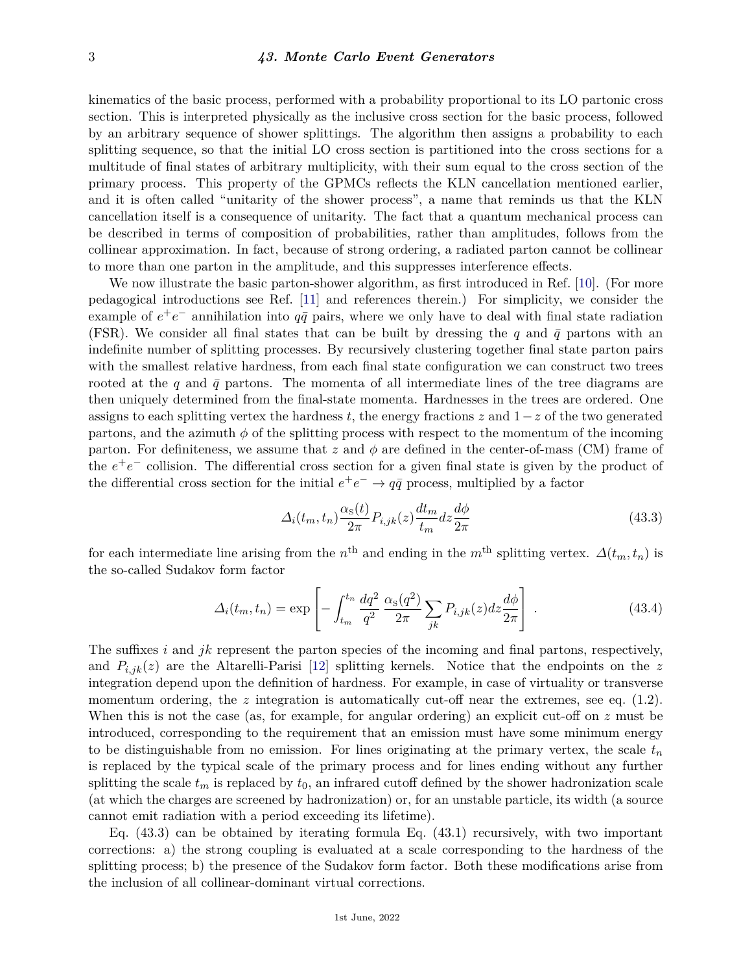kinematics of the basic process, performed with a probability proportional to its LO partonic cross section. This is interpreted physically as the inclusive cross section for the basic process, followed by an arbitrary sequence of shower splittings. The algorithm then assigns a probability to each splitting sequence, so that the initial LO cross section is partitioned into the cross sections for a multitude of final states of arbitrary multiplicity, with their sum equal to the cross section of the primary process. This property of the GPMCs reflects the KLN cancellation mentioned earlier, and it is often called "unitarity of the shower process", a name that reminds us that the KLN cancellation itself is a consequence of unitarity. The fact that a quantum mechanical process can be described in terms of composition of probabilities, rather than amplitudes, follows from the collinear approximation. In fact, because of strong ordering, a radiated parton cannot be collinear to more than one parton in the amplitude, and this suppresses interference effects.

We now illustrate the basic parton-shower algorithm, as first introduced in Ref. [\[10\]](#page-21-5). (For more pedagogical introductions see Ref. [\[11\]](#page-21-6) and references therein.) For simplicity, we consider the example of  $e^+e^-$  annihilation into  $q\bar{q}$  pairs, where we only have to deal with final state radiation (FSR). We consider all final states that can be built by dressing the  $q$  and  $\bar{q}$  partons with an indefinite number of splitting processes. By recursively clustering together final state parton pairs with the smallest relative hardness, from each final state configuration we can construct two trees rooted at the *q* and  $\bar{q}$  partons. The momenta of all intermediate lines of the tree diagrams are then uniquely determined from the final-state momenta. Hardnesses in the trees are ordered. One assigns to each splitting vertex the hardness *t*, the energy fractions *z* and 1−*z* of the two generated partons, and the azimuth  $\phi$  of the splitting process with respect to the momentum of the incoming parton. For definiteness, we assume that  $z$  and  $\phi$  are defined in the center-of-mass (CM) frame of the  $e^+e^-$  collision. The differential cross section for a given final state is given by the product of the differential cross section for the initial  $e^+e^- \rightarrow q\bar{q}$  process, multiplied by a factor

$$
\Delta_i(t_m, t_n) \frac{\alpha_s(t)}{2\pi} P_{i,jk}(z) \frac{dt_m}{t_m} dz \frac{d\phi}{2\pi}
$$
\n(43.3)

for each intermediate line arising from the  $n^{\text{th}}$  and ending in the  $m^{\text{th}}$  splitting vertex.  $\Delta(t_m, t_n)$  is the so-called Sudakov form factor

$$
\Delta_i(t_m, t_n) = \exp\left[ - \int_{t_m}^{t_n} \frac{dq^2}{q^2} \frac{\alpha_s(q^2)}{2\pi} \sum_{jk} P_{i,jk}(z) dz \frac{d\phi}{2\pi} \right] \,. \tag{43.4}
$$

The suffixes *i* and *jk* represent the parton species of the incoming and final partons, respectively, and  $P_{i,jk}(z)$  are the Altarelli-Parisi [\[12\]](#page-21-7) splitting kernels. Notice that the endpoints on the *z* integration depend upon the definition of hardness. For example, in case of virtuality or transverse momentum ordering, the  $z$  integration is automatically cut-off near the extremes, see eq.  $(1.2)$ . When this is not the case (as, for example, for angular ordering) an explicit cut-off on *z* must be introduced, corresponding to the requirement that an emission must have some minimum energy to be distinguishable from no emission. For lines originating at the primary vertex, the scale *t<sup>n</sup>* is replaced by the typical scale of the primary process and for lines ending without any further splitting the scale  $t_m$  is replaced by  $t_0$ , an infrared cutoff defined by the shower hadronization scale (at which the charges are screened by hadronization) or, for an unstable particle, its width (a source cannot emit radiation with a period exceeding its lifetime).

Eq. (43.3) can be obtained by iterating formula Eq. (43.1) recursively, with two important corrections: a) the strong coupling is evaluated at a scale corresponding to the hardness of the splitting process; b) the presence of the Sudakov form factor. Both these modifications arise from the inclusion of all collinear-dominant virtual corrections.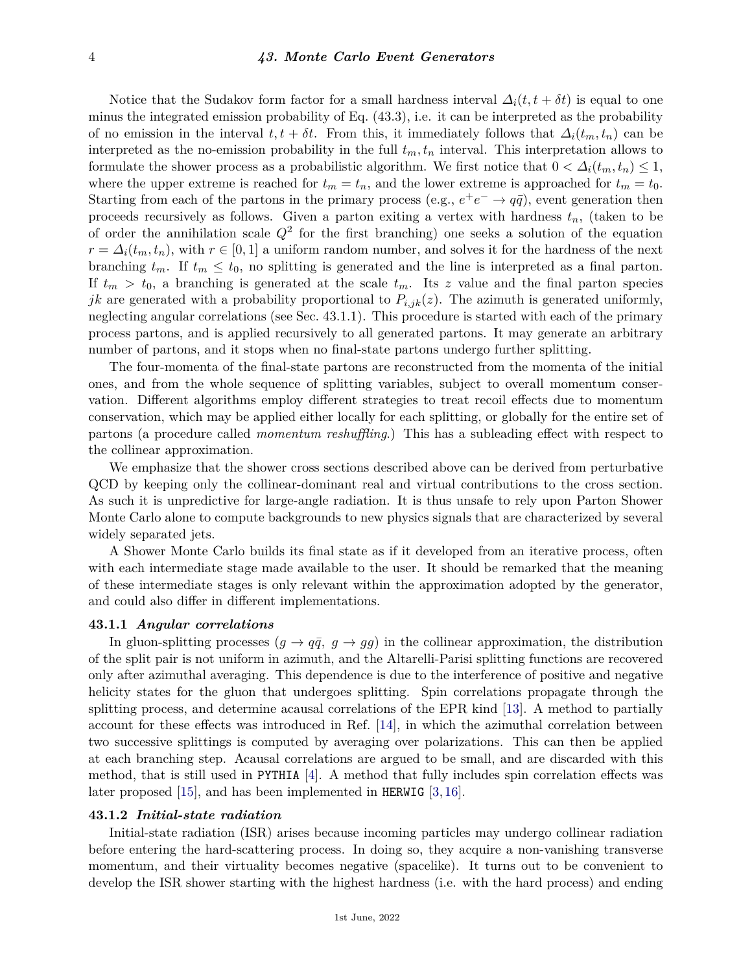Notice that the Sudakov form factor for a small hardness interval  $\Delta_i(t, t + \delta t)$  is equal to one minus the integrated emission probability of Eq. (43.3), i.e. it can be interpreted as the probability of no emission in the interval  $t, t + \delta t$ . From this, it immediately follows that  $\Delta_i(t_m, t_n)$  can be interpreted as the no-emission probability in the full  $t_m, t_n$  interval. This interpretation allows to formulate the shower process as a probabilistic algorithm. We first notice that  $0 < \Delta_i(t_m, t_n) \leq 1$ , where the upper extreme is reached for  $t_m = t_n$ , and the lower extreme is approached for  $t_m = t_0$ . Starting from each of the partons in the primary process (e.g.,  $e^+e^- \rightarrow q\bar{q}$ ), event generation then proceeds recursively as follows. Given a parton exiting a vertex with hardness  $t_n$ , (taken to be of order the annihilation scale  $Q^2$  for the first branching) one seeks a solution of the equation  $r = \Delta_i(t_m, t_n)$ , with  $r \in [0, 1]$  a uniform random number, and solves it for the hardness of the next branching  $t_m$ . If  $t_m \leq t_0$ , no splitting is generated and the line is interpreted as a final parton. If  $t_m > t_0$ , a branching is generated at the scale  $t_m$ . Its *z* value and the final parton species *jk* are generated with a probability proportional to  $P_{i,jk}(z)$ . The azimuth is generated uniformly, neglecting angular correlations (see Sec. 43.1.1). This procedure is started with each of the primary process partons, and is applied recursively to all generated partons. It may generate an arbitrary number of partons, and it stops when no final-state partons undergo further splitting.

The four-momenta of the final-state partons are reconstructed from the momenta of the initial ones, and from the whole sequence of splitting variables, subject to overall momentum conservation. Different algorithms employ different strategies to treat recoil effects due to momentum conservation, which may be applied either locally for each splitting, or globally for the entire set of partons (a procedure called *momentum reshuffling*.) This has a subleading effect with respect to the collinear approximation.

We emphasize that the shower cross sections described above can be derived from perturbative QCD by keeping only the collinear-dominant real and virtual contributions to the cross section. As such it is unpredictive for large-angle radiation. It is thus unsafe to rely upon Parton Shower Monte Carlo alone to compute backgrounds to new physics signals that are characterized by several widely separated jets.

A Shower Monte Carlo builds its final state as if it developed from an iterative process, often with each intermediate stage made available to the user. It should be remarked that the meaning of these intermediate stages is only relevant within the approximation adopted by the generator, and could also differ in different implementations.

#### **43.1.1** *Angular correlations*

In gluon-splitting processes  $(g \to q\bar{q}, g \to gg)$  in the collinear approximation, the distribution of the split pair is not uniform in azimuth, and the Altarelli-Parisi splitting functions are recovered only after azimuthal averaging. This dependence is due to the interference of positive and negative helicity states for the gluon that undergoes splitting. Spin correlations propagate through the splitting process, and determine acausal correlations of the EPR kind [\[13\]](#page-21-8). A method to partially account for these effects was introduced in Ref. [\[14\]](#page-21-9), in which the azimuthal correlation between two successive splittings is computed by averaging over polarizations. This can then be applied at each branching step. Acausal correlations are argued to be small, and are discarded with this method, that is still used in PYTHIA [\[4\]](#page-20-2). A method that fully includes spin correlation effects was later proposed [\[15\]](#page-21-10), and has been implemented in HERWIG [\[3,](#page-20-1) [16\]](#page-21-11).

#### **43.1.2** *Initial-state radiation*

Initial-state radiation (ISR) arises because incoming particles may undergo collinear radiation before entering the hard-scattering process. In doing so, they acquire a non-vanishing transverse momentum, and their virtuality becomes negative (spacelike). It turns out to be convenient to develop the ISR shower starting with the highest hardness (i.e. with the hard process) and ending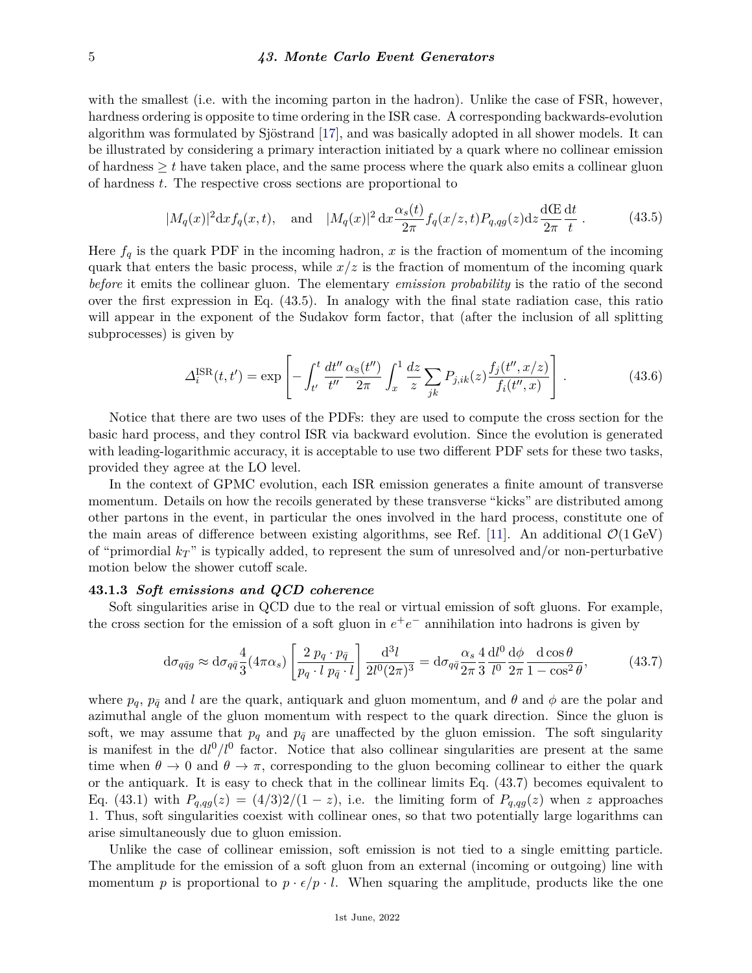with the smallest (i.e. with the incoming parton in the hadron). Unlike the case of FSR, however, hardness ordering is opposite to time ordering in the ISR case. A corresponding backwards-evolution algorithm was formulated by Sjöstrand [\[17\]](#page-21-12), and was basically adopted in all shower models. It can be illustrated by considering a primary interaction initiated by a quark where no collinear emission of hardness  $\geq t$  have taken place, and the same process where the quark also emits a collinear gluon of hardness *t*. The respective cross sections are proportional to

$$
|M_q(x)|^2 \mathrm{d} x f_q(x,t), \quad \text{and} \quad |M_q(x)|^2 \mathrm{d} x \frac{\alpha_s(t)}{2\pi} f_q(x/z,t) P_{q,qg}(z) \mathrm{d} z \frac{\mathrm{d} \mathbb{G}}{2\pi} \frac{\mathrm{d} t}{t} \,. \tag{43.5}
$$

Here  $f_q$  is the quark PDF in the incoming hadron, x is the fraction of momentum of the incoming quark that enters the basic process, while  $x/z$  is the fraction of momentum of the incoming quark *before* it emits the collinear gluon. The elementary *emission probability* is the ratio of the second over the first expression in Eq. (43.5). In analogy with the final state radiation case, this ratio will appear in the exponent of the Sudakov form factor, that (after the inclusion of all splitting subprocesses) is given by

$$
\Delta_i^{\text{ISR}}(t, t') = \exp\left[-\int_{t'}^t \frac{dt''}{t''} \frac{\alpha_s(t'')}{2\pi} \int_x^1 \frac{dz}{z} \sum_{jk} P_{j, ik}(z) \frac{f_j(t'', x/z)}{f_i(t'', x)}\right].
$$
\n(43.6)

Notice that there are two uses of the PDFs: they are used to compute the cross section for the basic hard process, and they control ISR via backward evolution. Since the evolution is generated with leading-logarithmic accuracy, it is acceptable to use two different PDF sets for these two tasks, provided they agree at the LO level.

In the context of GPMC evolution, each ISR emission generates a finite amount of transverse momentum. Details on how the recoils generated by these transverse "kicks" are distributed among other partons in the event, in particular the ones involved in the hard process, constitute one of the main areas of difference between existing algorithms, see Ref. [\[11\]](#page-21-6). An additional  $\mathcal{O}(1 \text{ GeV})$ of "primordial  $k_T$ " is typically added, to represent the sum of unresolved and/or non-perturbative motion below the shower cutoff scale.

## **43.1.3** *Soft emissions and QCD coherence*

Soft singularities arise in QCD due to the real or virtual emission of soft gluons. For example, the cross section for the emission of a soft gluon in  $e^+e^-$  annihilation into hadrons is given by

$$
d\sigma_{q\bar{q}g} \approx d\sigma_{q\bar{q}} \frac{4}{3} (4\pi \alpha_s) \left[ \frac{2 p_q \cdot p_{\bar{q}}}{p_q \cdot l \ p_{\bar{q}} \cdot l} \right] \frac{d^3 l}{2l^0 (2\pi)^3} = d\sigma_{q\bar{q}} \frac{\alpha_s}{2\pi} \frac{4}{3} \frac{dl^0}{l^0} \frac{d\phi}{2\pi} \frac{d\cos\theta}{1 - \cos^2\theta},\tag{43.7}
$$

where  $p_q$ ,  $p_{\bar{q}}$  and *l* are the quark, antiquark and gluon momentum, and  $\theta$  and  $\phi$  are the polar and azimuthal angle of the gluon momentum with respect to the quark direction. Since the gluon is soft, we may assume that  $p_q$  and  $p_{\bar{q}}$  are unaffected by the gluon emission. The soft singularity is manifest in the  $d^{0}/l^{0}$  factor. Notice that also collinear singularities are present at the same time when  $\theta \to 0$  and  $\theta \to \pi$ , corresponding to the gluon becoming collinear to either the quark or the antiquark. It is easy to check that in the collinear limits Eq. (43.7) becomes equivalent to Eq. (43.1) with  $P_{q,qg}(z) = \frac{4}{3} \frac{2}{1-z}$ , i.e. the limiting form of  $P_{q,qg}(z)$  when *z* approaches 1. Thus, soft singularities coexist with collinear ones, so that two potentially large logarithms can arise simultaneously due to gluon emission.

Unlike the case of collinear emission, soft emission is not tied to a single emitting particle. The amplitude for the emission of a soft gluon from an external (incoming or outgoing) line with momentum *p* is proportional to  $p \cdot \epsilon / p \cdot l$ . When squaring the amplitude, products like the one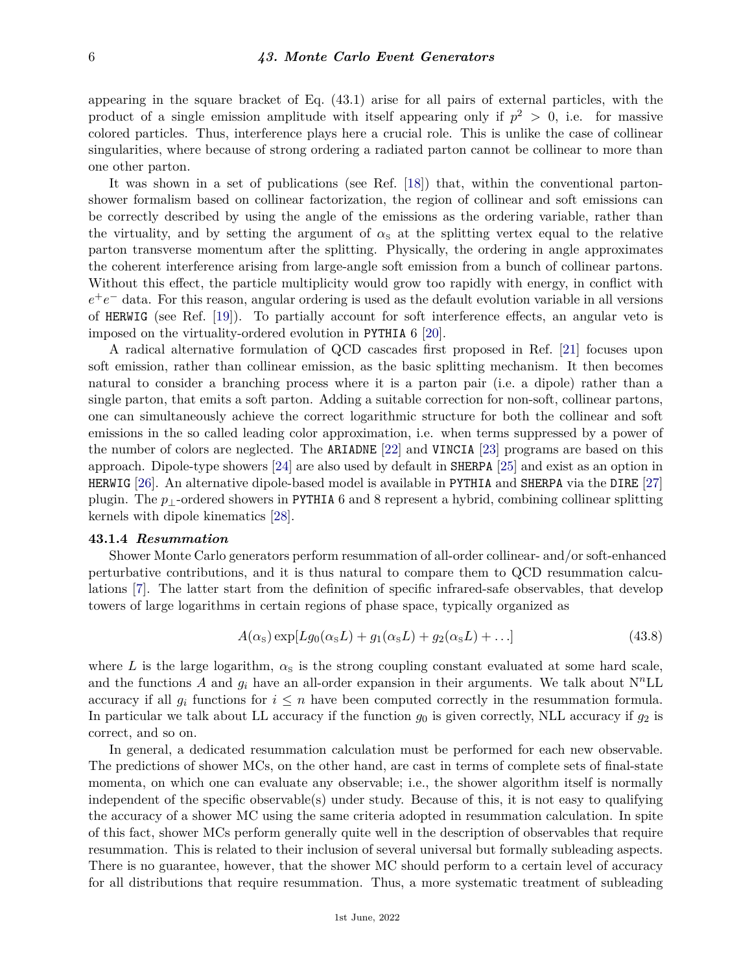appearing in the square bracket of Eq. (43.1) arise for all pairs of external particles, with the product of a single emission amplitude with itself appearing only if  $p^2 > 0$ , i.e. for massive colored particles. Thus, interference plays here a crucial role. This is unlike the case of collinear singularities, where because of strong ordering a radiated parton cannot be collinear to more than one other parton.

It was shown in a set of publications (see Ref. [\[18\]](#page-21-13)) that, within the conventional partonshower formalism based on collinear factorization, the region of collinear and soft emissions can be correctly described by using the angle of the emissions as the ordering variable, rather than the virtuality, and by setting the argument of  $\alpha_{\rm s}$  at the splitting vertex equal to the relative parton transverse momentum after the splitting. Physically, the ordering in angle approximates the coherent interference arising from large-angle soft emission from a bunch of collinear partons. Without this effect, the particle multiplicity would grow too rapidly with energy, in conflict with *e*<sup>+</sup>*e*<sup>−</sup> data. For this reason, angular ordering is used as the default evolution variable in all versions of HERWIG (see Ref. [\[19\]](#page-21-14)). To partially account for soft interference effects, an angular veto is imposed on the virtuality-ordered evolution in PYTHIA 6 [\[20\]](#page-21-15).

A radical alternative formulation of QCD cascades first proposed in Ref. [\[21\]](#page-21-16) focuses upon soft emission, rather than collinear emission, as the basic splitting mechanism. It then becomes natural to consider a branching process where it is a parton pair (i.e. a dipole) rather than a single parton, that emits a soft parton. Adding a suitable correction for non-soft, collinear partons, one can simultaneously achieve the correct logarithmic structure for both the collinear and soft emissions in the so called leading color approximation, i.e. when terms suppressed by a power of the number of colors are neglected. The ARIADNE [\[22\]](#page-21-17) and VINCIA [\[23\]](#page-21-18) programs are based on this approach. Dipole-type showers [\[24\]](#page-21-19) are also used by default in SHERPA [\[25\]](#page-21-20) and exist as an option in HERWIG [\[26\]](#page-21-21). An alternative dipole-based model is available in PYTHIA and SHERPA via the DIRE [\[27\]](#page-21-22) plugin. The *p*⊥-ordered showers in PYTHIA 6 and 8 represent a hybrid, combining collinear splitting kernels with dipole kinematics [\[28\]](#page-21-23).

# **43.1.4** *Resummation*

Shower Monte Carlo generators perform resummation of all-order collinear- and/or soft-enhanced perturbative contributions, and it is thus natural to compare them to QCD resummation calculations [\[7\]](#page-21-2). The latter start from the definition of specific infrared-safe observables, that develop towers of large logarithms in certain regions of phase space, typically organized as

$$
A(\alpha_{\rm s}) \exp[Lg_0(\alpha_{\rm s}L) + g_1(\alpha_{\rm s}L) + g_2(\alpha_{\rm s}L) + \ldots] \tag{43.8}
$$

where *L* is the large logarithm,  $\alpha_{\rm S}$  is the strong coupling constant evaluated at some hard scale, and the functions A and  $g_i$  have an all-order expansion in their arguments. We talk about  $N<sup>n</sup>LL$ accuracy if all  $g_i$  functions for  $i \leq n$  have been computed correctly in the resummation formula. In particular we talk about LL accuracy if the function  $g_0$  is given correctly, NLL accuracy if  $g_2$  is correct, and so on.

In general, a dedicated resummation calculation must be performed for each new observable. The predictions of shower MCs, on the other hand, are cast in terms of complete sets of final-state momenta, on which one can evaluate any observable; i.e., the shower algorithm itself is normally independent of the specific observable(s) under study. Because of this, it is not easy to qualifying the accuracy of a shower MC using the same criteria adopted in resummation calculation. In spite of this fact, shower MCs perform generally quite well in the description of observables that require resummation. This is related to their inclusion of several universal but formally subleading aspects. There is no guarantee, however, that the shower MC should perform to a certain level of accuracy for all distributions that require resummation. Thus, a more systematic treatment of subleading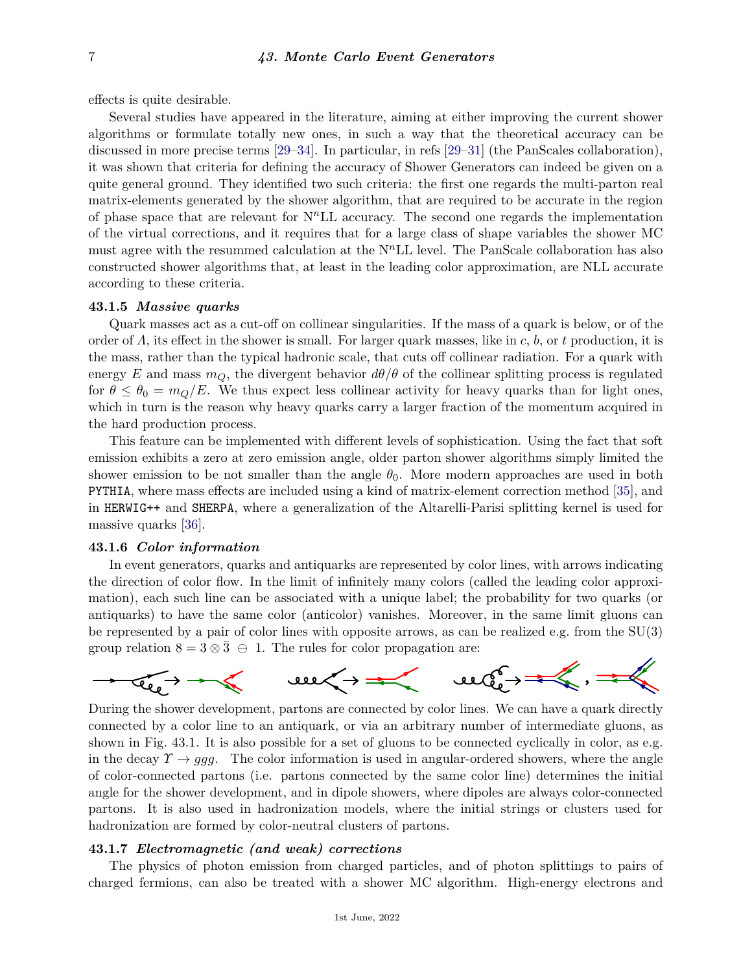effects is quite desirable.

Several studies have appeared in the literature, aiming at either improving the current shower algorithms or formulate totally new ones, in such a way that the theoretical accuracy can be discussed in more precise terms [\[29–](#page-21-24)[34\]](#page-21-25). In particular, in refs [\[29–](#page-21-24)[31\]](#page-21-26) (the PanScales collaboration), it was shown that criteria for defining the accuracy of Shower Generators can indeed be given on a quite general ground. They identified two such criteria: the first one regards the multi-parton real matrix-elements generated by the shower algorithm, that are required to be accurate in the region of phase space that are relevant for  $N<sup>n</sup>LL$  accuracy. The second one regards the implementation of the virtual corrections, and it requires that for a large class of shape variables the shower MC must agree with the resummed calculation at the  $N<sup>n</sup>LL$  level. The PanScale collaboration has also constructed shower algorithms that, at least in the leading color approximation, are NLL accurate according to these criteria.

#### **43.1.5** *Massive quarks*

Quark masses act as a cut-off on collinear singularities. If the mass of a quark is below, or of the order of *Λ*, its effect in the shower is small. For larger quark masses, like in *c*, *b*, or *t* production, it is the mass, rather than the typical hadronic scale, that cuts off collinear radiation. For a quark with energy *E* and mass  $m_Q$ , the divergent behavior  $d\theta/\theta$  of the collinear splitting process is regulated for  $\theta \leq \theta_0 = m_Q/E$ . We thus expect less collinear activity for heavy quarks than for light ones, which in turn is the reason why heavy quarks carry a larger fraction of the momentum acquired in the hard production process.

This feature can be implemented with different levels of sophistication. Using the fact that soft emission exhibits a zero at zero emission angle, older parton shower algorithms simply limited the shower emission to be not smaller than the angle  $\theta_0$ . More modern approaches are used in both PYTHIA, where mass effects are included using a kind of matrix-element correction method [\[35\]](#page-21-27), and in HERWIG++ and SHERPA, where a generalization of the Altarelli-Parisi splitting kernel is used for massive quarks [\[36\]](#page-21-28).

# **43.1.6** *Color information*

In event generators, quarks and antiquarks are represented by color lines, with arrows indicating the direction of color flow. In the limit of infinitely many colors (called the leading color approximation), each such line can be associated with a unique label; the probability for two quarks (or antiquarks) to have the same color (anticolor) vanishes. Moreover, in the same limit gluons can be represented by a pair of color lines with opposite arrows, as can be realized e.g. from the SU(3) group relation  $8 = 3 \otimes \overline{3} \oplus 1$ . The rules for color propagation are:



During the shower development, partons are connected by color lines. We can have a quark directly connected by a color line to an antiquark, or via an arbitrary number of intermediate gluons, as shown in Fig. 43.1. It is also possible for a set of gluons to be connected cyclically in color, as e.g. in the decay  $\gamma \rightarrow g \gamma g$ . The color information is used in angular-ordered showers, where the angle of color-connected partons (i.e. partons connected by the same color line) determines the initial angle for the shower development, and in dipole showers, where dipoles are always color-connected partons. It is also used in hadronization models, where the initial strings or clusters used for hadronization are formed by color-neutral clusters of partons.

#### **43.1.7** *Electromagnetic (and weak) corrections*

The physics of photon emission from charged particles, and of photon splittings to pairs of charged fermions, can also be treated with a shower MC algorithm. High-energy electrons and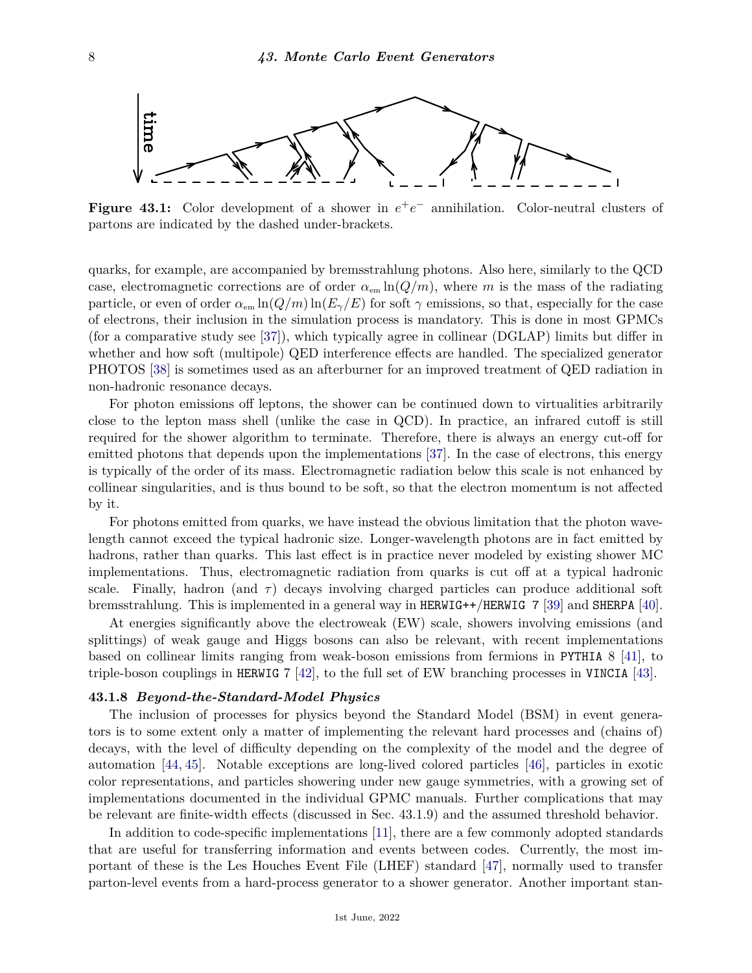

**Figure 43.1:** Color development of a shower in  $e^+e^-$  annihilation. Color-neutral clusters of partons are indicated by the dashed under-brackets.

quarks, for example, are accompanied by bremsstrahlung photons. Also here, similarly to the QCD case, electromagnetic corrections are of order  $\alpha_{em} \ln(Q/m)$ , where *m* is the mass of the radiating particle, or even of order  $\alpha_{em} \ln(Q/m) \ln(E_{\gamma}/E)$  for soft  $\gamma$  emissions, so that, especially for the case of electrons, their inclusion in the simulation process is mandatory. This is done in most GPMCs (for a comparative study see [\[37\]](#page-21-29)), which typically agree in collinear (DGLAP) limits but differ in whether and how soft (multipole) QED interference effects are handled. The specialized generator PHOTOS [\[38\]](#page-21-30) is sometimes used as an afterburner for an improved treatment of QED radiation in non-hadronic resonance decays.

For photon emissions off leptons, the shower can be continued down to virtualities arbitrarily close to the lepton mass shell (unlike the case in QCD). In practice, an infrared cutoff is still required for the shower algorithm to terminate. Therefore, there is always an energy cut-off for emitted photons that depends upon the implementations [\[37\]](#page-21-29). In the case of electrons, this energy is typically of the order of its mass. Electromagnetic radiation below this scale is not enhanced by collinear singularities, and is thus bound to be soft, so that the electron momentum is not affected by it.

For photons emitted from quarks, we have instead the obvious limitation that the photon wavelength cannot exceed the typical hadronic size. Longer-wavelength photons are in fact emitted by hadrons, rather than quarks. This last effect is in practice never modeled by existing shower MC implementations. Thus, electromagnetic radiation from quarks is cut off at a typical hadronic scale. Finally, hadron (and  $\tau$ ) decays involving charged particles can produce additional soft bremsstrahlung. This is implemented in a general way in HERWIG++/HERWIG 7 [\[39\]](#page-21-31) and SHERPA [\[40\]](#page-21-32).

At energies significantly above the electroweak (EW) scale, showers involving emissions (and splittings) of weak gauge and Higgs bosons can also be relevant, with recent implementations based on collinear limits ranging from weak-boson emissions from fermions in PYTHIA 8 [\[41\]](#page-21-33), to triple-boson couplings in HERWIG 7 [\[42\]](#page-22-0), to the full set of EW branching processes in VINCIA [\[43\]](#page-22-1).

## **43.1.8** *Beyond-the-Standard-Model Physics*

The inclusion of processes for physics beyond the Standard Model (BSM) in event generators is to some extent only a matter of implementing the relevant hard processes and (chains of) decays, with the level of difficulty depending on the complexity of the model and the degree of automation [\[44,](#page-22-2) [45\]](#page-22-3). Notable exceptions are long-lived colored particles [\[46\]](#page-22-4), particles in exotic color representations, and particles showering under new gauge symmetries, with a growing set of implementations documented in the individual GPMC manuals. Further complications that may be relevant are finite-width effects (discussed in Sec. 43.1.9) and the assumed threshold behavior.

In addition to code-specific implementations [\[11\]](#page-21-6), there are a few commonly adopted standards that are useful for transferring information and events between codes. Currently, the most important of these is the Les Houches Event File (LHEF) standard [\[47\]](#page-22-5), normally used to transfer parton-level events from a hard-process generator to a shower generator. Another important stan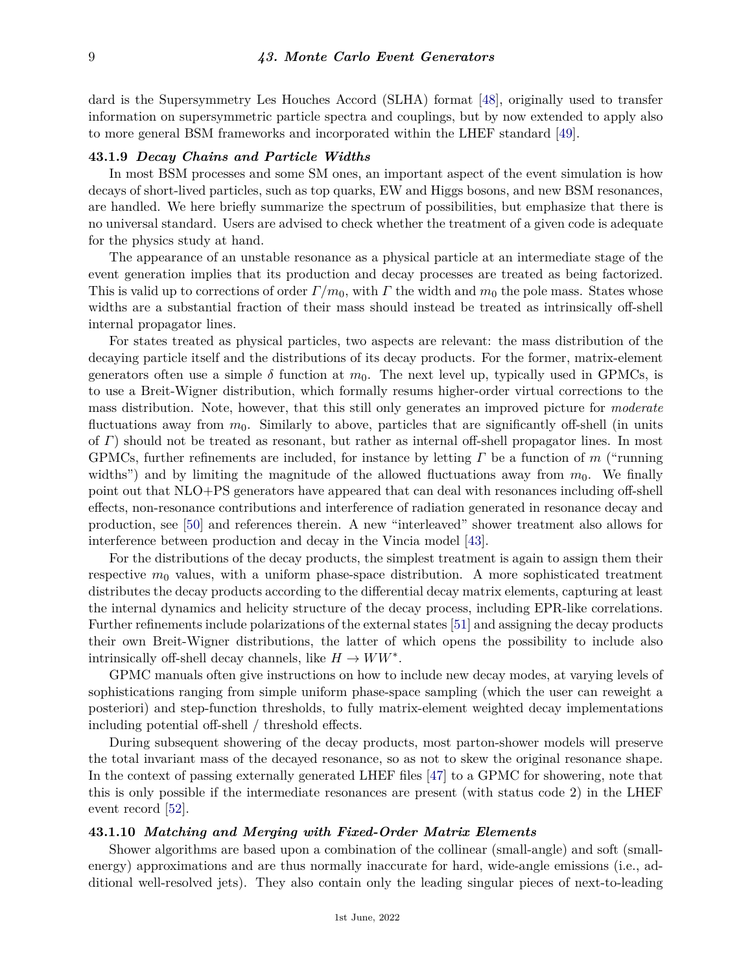dard is the Supersymmetry Les Houches Accord (SLHA) format [\[48\]](#page-22-6), originally used to transfer information on supersymmetric particle spectra and couplings, but by now extended to apply also to more general BSM frameworks and incorporated within the LHEF standard [\[49\]](#page-22-7).

#### **43.1.9** *Decay Chains and Particle Widths*

In most BSM processes and some SM ones, an important aspect of the event simulation is how decays of short-lived particles, such as top quarks, EW and Higgs bosons, and new BSM resonances, are handled. We here briefly summarize the spectrum of possibilities, but emphasize that there is no universal standard. Users are advised to check whether the treatment of a given code is adequate for the physics study at hand.

The appearance of an unstable resonance as a physical particle at an intermediate stage of the event generation implies that its production and decay processes are treated as being factorized. This is valid up to corrections of order  $\Gamma/m_0$ , with  $\Gamma$  the width and  $m_0$  the pole mass. States whose widths are a substantial fraction of their mass should instead be treated as intrinsically off-shell internal propagator lines.

For states treated as physical particles, two aspects are relevant: the mass distribution of the decaying particle itself and the distributions of its decay products. For the former, matrix-element generators often use a simple  $\delta$  function at  $m_0$ . The next level up, typically used in GPMCs, is to use a Breit-Wigner distribution, which formally resums higher-order virtual corrections to the mass distribution. Note, however, that this still only generates an improved picture for *moderate* fluctuations away from  $m_0$ . Similarly to above, particles that are significantly off-shell (in units of *Γ*) should not be treated as resonant, but rather as internal off-shell propagator lines. In most GPMCs, further refinements are included, for instance by letting *Γ* be a function of *m* ("running widths") and by limiting the magnitude of the allowed fluctuations away from  $m_0$ . We finally point out that NLO+PS generators have appeared that can deal with resonances including off-shell effects, non-resonance contributions and interference of radiation generated in resonance decay and production, see [\[50\]](#page-22-8) and references therein. A new "interleaved" shower treatment also allows for interference between production and decay in the Vincia model [\[43\]](#page-22-1).

For the distributions of the decay products, the simplest treatment is again to assign them their respective  $m_0$  values, with a uniform phase-space distribution. A more sophisticated treatment distributes the decay products according to the differential decay matrix elements, capturing at least the internal dynamics and helicity structure of the decay process, including EPR-like correlations. Further refinements include polarizations of the external states [\[51\]](#page-22-9) and assigning the decay products their own Breit-Wigner distributions, the latter of which opens the possibility to include also intrinsically off-shell decay channels, like  $H \to WW^*$ .

GPMC manuals often give instructions on how to include new decay modes, at varying levels of sophistications ranging from simple uniform phase-space sampling (which the user can reweight a posteriori) and step-function thresholds, to fully matrix-element weighted decay implementations including potential off-shell / threshold effects.

During subsequent showering of the decay products, most parton-shower models will preserve the total invariant mass of the decayed resonance, so as not to skew the original resonance shape. In the context of passing externally generated LHEF files [\[47\]](#page-22-5) to a GPMC for showering, note that this is only possible if the intermediate resonances are present (with status code 2) in the LHEF event record [\[52\]](#page-22-10).

### **43.1.10** *Matching and Merging with Fixed-Order Matrix Elements*

Shower algorithms are based upon a combination of the collinear (small-angle) and soft (smallenergy) approximations and are thus normally inaccurate for hard, wide-angle emissions (i.e., additional well-resolved jets). They also contain only the leading singular pieces of next-to-leading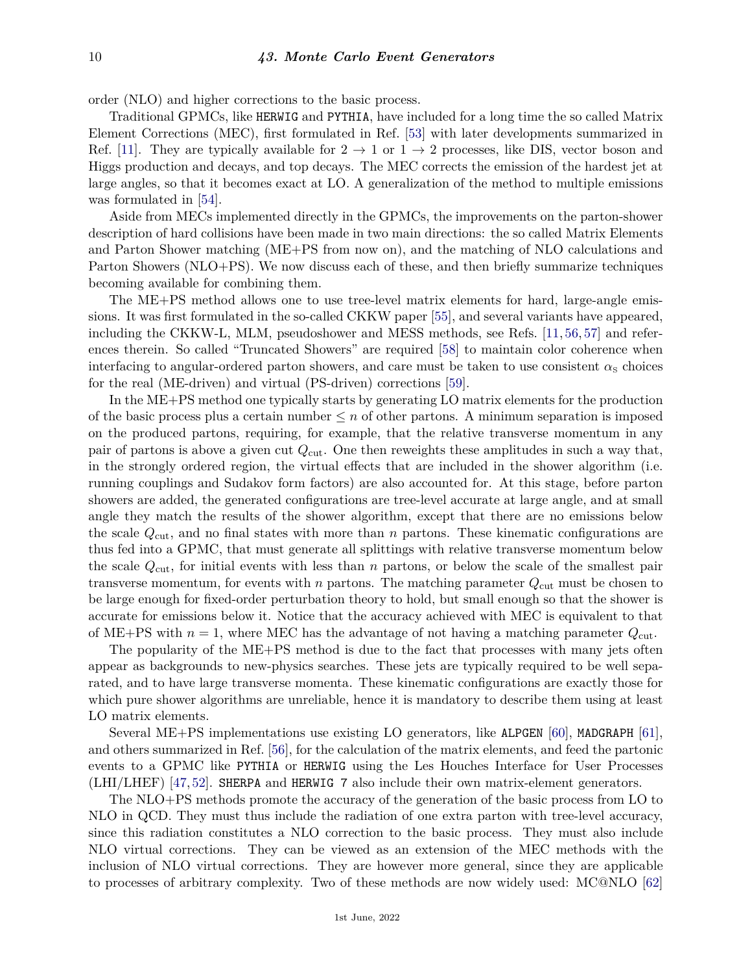order (NLO) and higher corrections to the basic process.

Traditional GPMCs, like HERWIG and PYTHIA, have included for a long time the so called Matrix Element Corrections (MEC), first formulated in Ref. [\[53\]](#page-22-11) with later developments summarized in Ref. [\[11\]](#page-21-6). They are typically available for  $2 \rightarrow 1$  or  $1 \rightarrow 2$  processes, like DIS, vector boson and Higgs production and decays, and top decays. The MEC corrects the emission of the hardest jet at large angles, so that it becomes exact at LO. A generalization of the method to multiple emissions was formulated in [\[54\]](#page-22-12).

Aside from MECs implemented directly in the GPMCs, the improvements on the parton-shower description of hard collisions have been made in two main directions: the so called Matrix Elements and Parton Shower matching (ME+PS from now on), and the matching of NLO calculations and Parton Showers (NLO+PS). We now discuss each of these, and then briefly summarize techniques becoming available for combining them.

The ME+PS method allows one to use tree-level matrix elements for hard, large-angle emissions. It was first formulated in the so-called CKKW paper [\[55\]](#page-22-13), and several variants have appeared, including the CKKW-L, MLM, pseudoshower and MESS methods, see Refs. [\[11,](#page-21-6) [56,](#page-22-14) [57\]](#page-22-15) and references therein. So called "Truncated Showers" are required [\[58\]](#page-22-16) to maintain color coherence when interfacing to angular-ordered parton showers, and care must be taken to use consistent  $\alpha_{\rm s}$  choices for the real (ME-driven) and virtual (PS-driven) corrections [\[59\]](#page-22-17).

In the ME+PS method one typically starts by generating LO matrix elements for the production of the basic process plus a certain number  $\leq n$  of other partons. A minimum separation is imposed on the produced partons, requiring, for example, that the relative transverse momentum in any pair of partons is above a given cut *Q*cut. One then reweights these amplitudes in such a way that, in the strongly ordered region, the virtual effects that are included in the shower algorithm (i.e. running couplings and Sudakov form factors) are also accounted for. At this stage, before parton showers are added, the generated configurations are tree-level accurate at large angle, and at small angle they match the results of the shower algorithm, except that there are no emissions below the scale *Q*cut, and no final states with more than *n* partons. These kinematic configurations are thus fed into a GPMC, that must generate all splittings with relative transverse momentum below the scale *Q*cut, for initial events with less than *n* partons, or below the scale of the smallest pair transverse momentum, for events with *n* partons. The matching parameter *Q*cut must be chosen to be large enough for fixed-order perturbation theory to hold, but small enough so that the shower is accurate for emissions below it. Notice that the accuracy achieved with MEC is equivalent to that of ME+PS with  $n = 1$ , where MEC has the advantage of not having a matching parameter  $Q_{\text{cut}}$ .

The popularity of the ME+PS method is due to the fact that processes with many jets often appear as backgrounds to new-physics searches. These jets are typically required to be well separated, and to have large transverse momenta. These kinematic configurations are exactly those for which pure shower algorithms are unreliable, hence it is mandatory to describe them using at least LO matrix elements.

Several ME+PS implementations use existing LO generators, like ALPGEN [\[60\]](#page-22-18), MADGRAPH [\[61\]](#page-22-19), and others summarized in Ref. [\[56\]](#page-22-14), for the calculation of the matrix elements, and feed the partonic events to a GPMC like PYTHIA or HERWIG using the Les Houches Interface for User Processes (LHI/LHEF) [\[47,](#page-22-5) [52\]](#page-22-10). SHERPA and HERWIG 7 also include their own matrix-element generators.

The NLO+PS methods promote the accuracy of the generation of the basic process from LO to NLO in QCD. They must thus include the radiation of one extra parton with tree-level accuracy, since this radiation constitutes a NLO correction to the basic process. They must also include NLO virtual corrections. They can be viewed as an extension of the MEC methods with the inclusion of NLO virtual corrections. They are however more general, since they are applicable to processes of arbitrary complexity. Two of these methods are now widely used: MC@NLO [\[62\]](#page-22-20)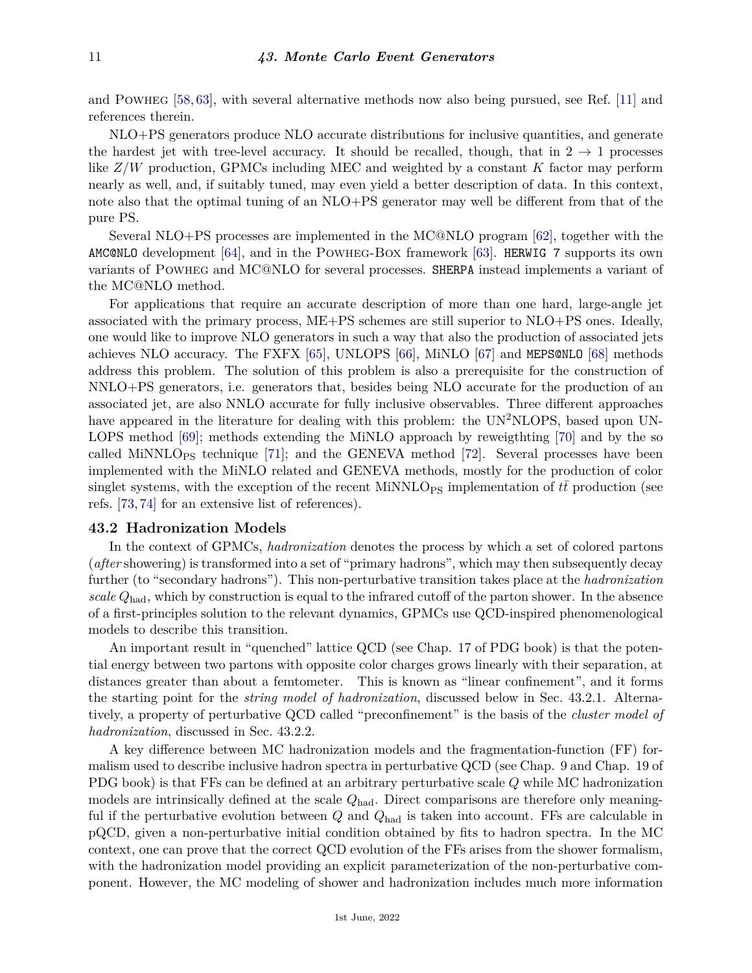and Powheg [\[58,](#page-22-16) [63\]](#page-22-21), with several alternative methods now also being pursued, see Ref. [\[11\]](#page-21-6) and references therein.

NLO+PS generators produce NLO accurate distributions for inclusive quantities, and generate the hardest jet with tree-level accuracy. It should be recalled, though, that in  $2 \rightarrow 1$  processes like *Z/W* production, GPMCs including MEC and weighted by a constant *K* factor may perform nearly as well, and, if suitably tuned, may even yield a better description of data. In this context, note also that the optimal tuning of an NLO+PS generator may well be different from that of the pure PS.

Several NLO+PS processes are implemented in the MC@NLO program [\[62\]](#page-22-20), together with the AMC@NLO development [\[64\]](#page-22-22), and in the Powheg-Box framework [\[63\]](#page-22-21). HERWIG 7 supports its own variants of Powheg and MC@NLO for several processes. SHERPA instead implements a variant of the MC@NLO method.

For applications that require an accurate description of more than one hard, large-angle jet associated with the primary process, ME+PS schemes are still superior to NLO+PS ones. Ideally, one would like to improve NLO generators in such a way that also the production of associated jets achieves NLO accuracy. The FXFX [\[65\]](#page-22-23), UNLOPS [\[66\]](#page-22-24), MiNLO [\[67\]](#page-22-25) and MEPS@NLO [\[68\]](#page-22-26) methods address this problem. The solution of this problem is also a prerequisite for the construction of NNLO+PS generators, i.e. generators that, besides being NLO accurate for the production of an associated jet, are also NNLO accurate for fully inclusive observables. Three different approaches have appeared in the literature for dealing with this problem: the UN<sup>2</sup>NLOPS, based upon UN-LOPS method [\[69\]](#page-22-27); methods extending the MiNLO approach by reweigthting [\[70\]](#page-22-28) and by the so called MiNNLO<sub>PS</sub> technique [\[71\]](#page-22-29); and the GENEVA method [\[72\]](#page-22-30). Several processes have been implemented with the MiNLO related and GENEVA methods, mostly for the production of color singlet systems, with the exception of the recent  $\text{MiNNLO}_{\text{PS}}$  implementation of tt production (see refs. [\[73,](#page-22-31) [74\]](#page-22-32) for an extensive list of references).

#### **43.2 Hadronization Models**

In the context of GPMCs, *hadronization* denotes the process by which a set of colored partons (*after* showering) is transformed into a set of "primary hadrons", which may then subsequently decay further (to "secondary hadrons"). This non-perturbative transition takes place at the *hadronization scale Q*had, which by construction is equal to the infrared cutoff of the parton shower. In the absence of a first-principles solution to the relevant dynamics, GPMCs use QCD-inspired phenomenological models to describe this transition.

An important result in "quenched" lattice QCD (see Chap. 17 of PDG book) is that the potential energy between two partons with opposite color charges grows linearly with their separation, at distances greater than about a femtometer. This is known as "linear confinement", and it forms the starting point for the *string model of hadronization*, discussed below in Sec. 43.2.1. Alternatively, a property of perturbative QCD called "preconfinement" is the basis of the *cluster model of hadronization*, discussed in Sec. 43.2.2.

A key difference between MC hadronization models and the fragmentation-function (FF) formalism used to describe inclusive hadron spectra in perturbative QCD (see Chap. 9 and Chap. 19 of PDG book) is that FFs can be defined at an arbitrary perturbative scale *Q* while MC hadronization models are intrinsically defined at the scale *Q*had. Direct comparisons are therefore only meaningful if the perturbative evolution between *Q* and *Q*had is taken into account. FFs are calculable in pQCD, given a non-perturbative initial condition obtained by fits to hadron spectra. In the MC context, one can prove that the correct QCD evolution of the FFs arises from the shower formalism, with the hadronization model providing an explicit parameterization of the non-perturbative component. However, the MC modeling of shower and hadronization includes much more information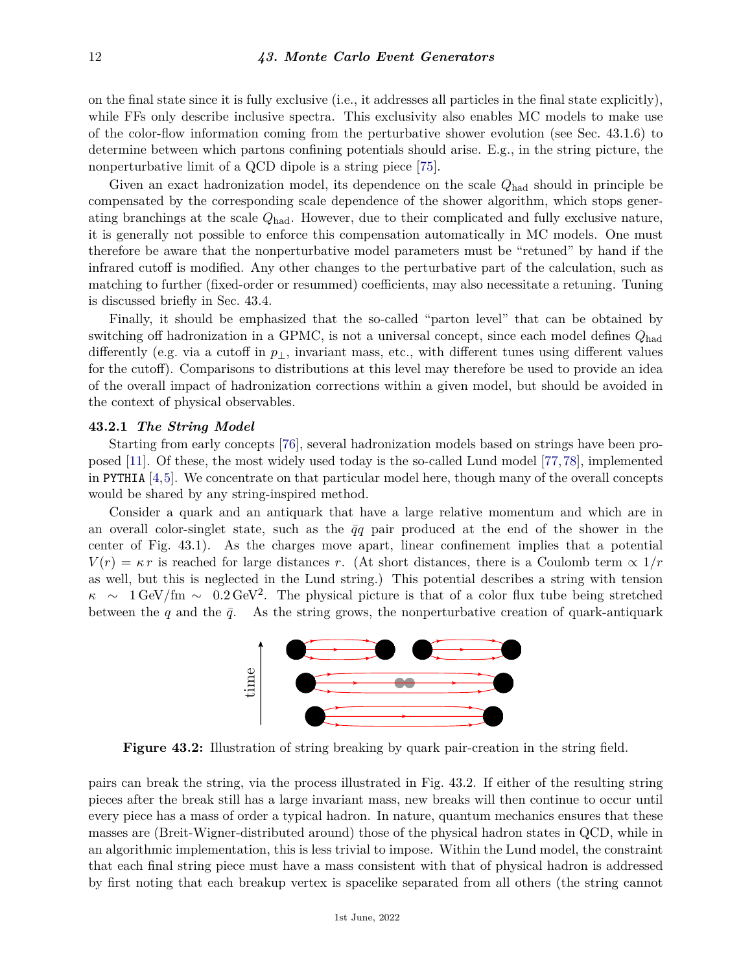on the final state since it is fully exclusive (i.e., it addresses all particles in the final state explicitly), while FFs only describe inclusive spectra. This exclusivity also enables MC models to make use of the color-flow information coming from the perturbative shower evolution (see Sec. 43.1.6) to determine between which partons confining potentials should arise. E.g., in the string picture, the nonperturbative limit of a QCD dipole is a string piece [\[75\]](#page-22-33).

Given an exact hadronization model, its dependence on the scale *Q*had should in principle be compensated by the corresponding scale dependence of the shower algorithm, which stops generating branchings at the scale *Q*had. However, due to their complicated and fully exclusive nature, it is generally not possible to enforce this compensation automatically in MC models. One must therefore be aware that the nonperturbative model parameters must be "retuned" by hand if the infrared cutoff is modified. Any other changes to the perturbative part of the calculation, such as matching to further (fixed-order or resummed) coefficients, may also necessitate a retuning. Tuning is discussed briefly in Sec. 43.4.

Finally, it should be emphasized that the so-called "parton level" that can be obtained by switching off hadronization in a GPMC, is not a universal concept, since each model defines *Q*had differently (e.g. via a cutoff in  $p_{\perp}$ , invariant mass, etc., with different tunes using different values for the cutoff). Comparisons to distributions at this level may therefore be used to provide an idea of the overall impact of hadronization corrections within a given model, but should be avoided in the context of physical observables.

#### **43.2.1** *The String Model*

Starting from early concepts [\[76\]](#page-22-34), several hadronization models based on strings have been proposed [\[11\]](#page-21-6). Of these, the most widely used today is the so-called Lund model [\[77,](#page-22-35)[78\]](#page-23-0), implemented in PYTHIA [\[4,](#page-20-2)[5\]](#page-21-0). We concentrate on that particular model here, though many of the overall concepts would be shared by any string-inspired method.

Consider a quark and an antiquark that have a large relative momentum and which are in an overall color-singlet state, such as the  $\bar{q}q$  pair produced at the end of the shower in the center of Fig. 43.1). As the charges move apart, linear confinement implies that a potential  $V(r) = \kappa r$  is reached for large distances *r*. (At short distances, there is a Coulomb term  $\propto 1/r$ as well, but this is neglected in the Lund string.) This potential describes a string with tension  $\kappa \sim 1$  GeV/fm ~ 0.2 GeV<sup>2</sup>. The physical picture is that of a color flux tube being stretched between the *q* and the  $\bar{q}$ . As the string grows, the nonperturbative creation of quark-antiquark



**Figure 43.2:** Illustration of string breaking by quark pair-creation in the string field.

pairs can break the string, via the process illustrated in Fig. 43.2. If either of the resulting string pieces after the break still has a large invariant mass, new breaks will then continue to occur until every piece has a mass of order a typical hadron. In nature, quantum mechanics ensures that these masses are (Breit-Wigner-distributed around) those of the physical hadron states in QCD, while in an algorithmic implementation, this is less trivial to impose. Within the Lund model, the constraint that each final string piece must have a mass consistent with that of physical hadron is addressed by first noting that each breakup vertex is spacelike separated from all others (the string cannot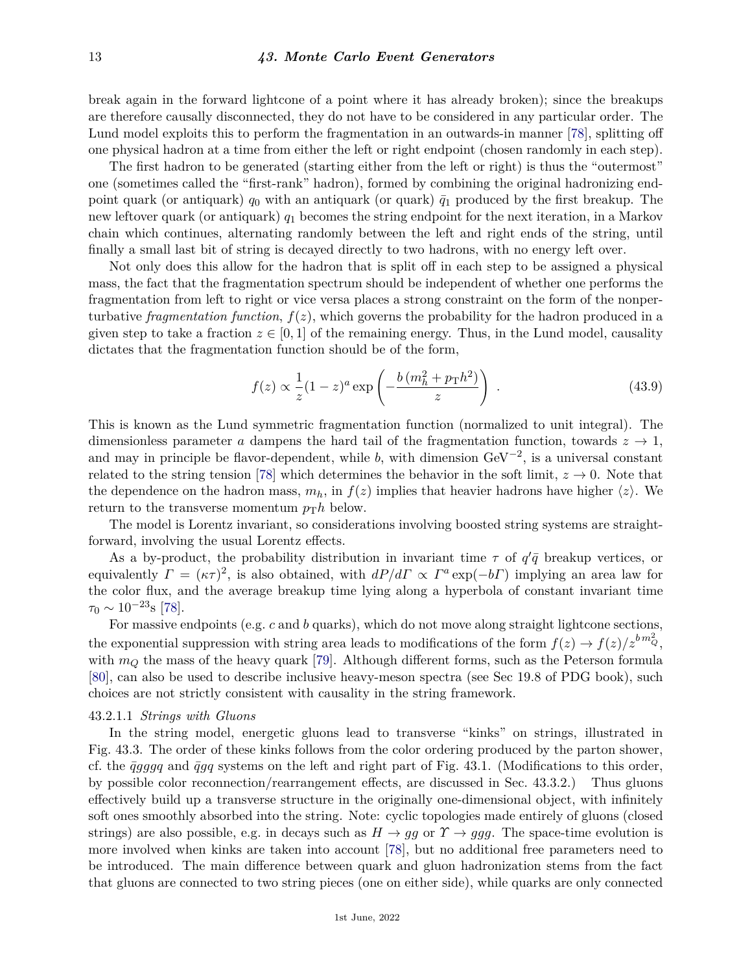break again in the forward lightcone of a point where it has already broken); since the breakups are therefore causally disconnected, they do not have to be considered in any particular order. The Lund model exploits this to perform the fragmentation in an outwards-in manner [\[78\]](#page-23-0), splitting off one physical hadron at a time from either the left or right endpoint (chosen randomly in each step).

The first hadron to be generated (starting either from the left or right) is thus the "outermost" one (sometimes called the "first-rank" hadron), formed by combining the original hadronizing endpoint quark (or antiquark)  $q_0$  with an antiquark (or quark)  $\bar{q}_1$  produced by the first breakup. The new leftover quark (or antiquark) *q*<sup>1</sup> becomes the string endpoint for the next iteration, in a Markov chain which continues, alternating randomly between the left and right ends of the string, until finally a small last bit of string is decayed directly to two hadrons, with no energy left over.

Not only does this allow for the hadron that is split off in each step to be assigned a physical mass, the fact that the fragmentation spectrum should be independent of whether one performs the fragmentation from left to right or vice versa places a strong constraint on the form of the nonperturbative *fragmentation function*,  $f(z)$ , which governs the probability for the hadron produced in a given step to take a fraction  $z \in [0, 1]$  of the remaining energy. Thus, in the Lund model, causality dictates that the fragmentation function should be of the form,

$$
f(z) \propto \frac{1}{z} (1 - z)^a \exp\left(-\frac{b \left(m_h^2 + p_\text{T} h^2\right)}{z}\right)
$$
 (43.9)

This is known as the Lund symmetric fragmentation function (normalized to unit integral). The dimensionless parameter *a* dampens the hard tail of the fragmentation function, towards  $z \rightarrow 1$ , and may in principle be flavor-dependent, while  $b$ , with dimension  $\text{GeV}^{-2}$ , is a universal constant related to the string tension [\[78\]](#page-23-0) which determines the behavior in the soft limit,  $z \to 0$ . Note that the dependence on the hadron mass,  $m_h$ , in  $f(z)$  implies that heavier hadrons have higher  $\langle z \rangle$ . We return to the transverse momentum  $p_{\text{T}}h$  below.

The model is Lorentz invariant, so considerations involving boosted string systems are straightforward, involving the usual Lorentz effects.

As a by-product, the probability distribution in invariant time  $\tau$  of  $q'\bar{q}$  breakup vertices, or equivalently  $\Gamma = (\kappa \tau)^2$ , is also obtained, with  $dP/d\Gamma \propto \Gamma^a \exp(-b\Gamma)$  implying an area law for the color flux, and the average breakup time lying along a hyperbola of constant invariant time  $\tau_0 \sim 10^{-23}$ s [\[78\]](#page-23-0).

For massive endpoints (e.g. *c* and *b* quarks), which do not move along straight lightcone sections, the exponential suppression with string area leads to modifications of the form  $f(z) \to f(z)/z^{bm_0^2}$ , with  $m_Q$  the mass of the heavy quark [\[79\]](#page-23-1). Although different forms, such as the Peterson formula [\[80\]](#page-23-2), can also be used to describe inclusive heavy-meson spectra (see Sec 19.8 of PDG book), such choices are not strictly consistent with causality in the string framework.

#### 43.2.1.1 *Strings with Gluons*

In the string model, energetic gluons lead to transverse "kinks" on strings, illustrated in Fig. 43.3. The order of these kinks follows from the color ordering produced by the parton shower, cf. the  $qggg$  and  $qgg$  systems on the left and right part of Fig. 43.1. (Modifications to this order, by possible color reconnection/rearrangement effects, are discussed in Sec. 43.3.2.) Thus gluons effectively build up a transverse structure in the originally one-dimensional object, with infinitely soft ones smoothly absorbed into the string. Note: cyclic topologies made entirely of gluons (closed strings) are also possible, e.g. in decays such as  $H \rightarrow gg$  or  $\gamma \rightarrow ggg$ . The space-time evolution is more involved when kinks are taken into account [\[78\]](#page-23-0), but no additional free parameters need to be introduced. The main difference between quark and gluon hadronization stems from the fact that gluons are connected to two string pieces (one on either side), while quarks are only connected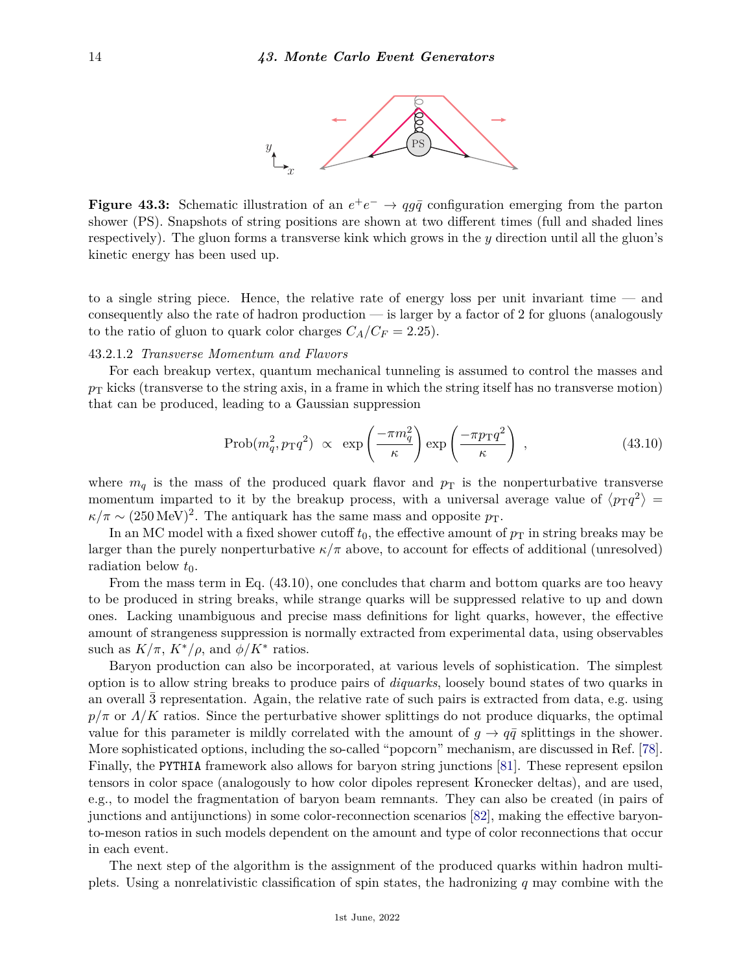

**Figure 43.3:** Schematic illustration of an  $e^+e^- \rightarrow qg\bar{q}$  configuration emerging from the parton shower (PS). Snapshots of string positions are shown at two different times (full and shaded lines respectively). The gluon forms a transverse kink which grows in the *y* direction until all the gluon's kinetic energy has been used up.

to a single string piece. Hence, the relative rate of energy loss per unit invariant time — and consequently also the rate of hadron production — is larger by a factor of 2 for gluons (analogously to the ratio of gluon to quark color charges  $C_A/C_F = 2.25$ .

#### 43.2.1.2 *Transverse Momentum and Flavors*

For each breakup vertex, quantum mechanical tunneling is assumed to control the masses and *p*<sup>T</sup> kicks (transverse to the string axis, in a frame in which the string itself has no transverse motion) that can be produced, leading to a Gaussian suppression

$$
\text{Prob}(m_q^2, p_\text{T}q^2) \propto \exp\left(\frac{-\pi m_q^2}{\kappa}\right) \exp\left(\frac{-\pi p_\text{T}q^2}{\kappa}\right) ,\qquad (43.10)
$$

where  $m_q$  is the mass of the produced quark flavor and  $p_T$  is the nonperturbative transverse momentum imparted to it by the breakup process, with a universal average value of  $\langle p_T q^2 \rangle =$  $\kappa/\pi \sim (250 \,\text{MeV})^2$ . The antiquark has the same mass and opposite  $p_{\text{T}}$ .

In an MC model with a fixed shower cutoff  $t_0$ , the effective amount of  $p<sub>T</sub>$  in string breaks may be larger than the purely nonperturbative  $\kappa/\pi$  above, to account for effects of additional (unresolved) radiation below *t*0.

From the mass term in Eq. (43.10), one concludes that charm and bottom quarks are too heavy to be produced in string breaks, while strange quarks will be suppressed relative to up and down ones. Lacking unambiguous and precise mass definitions for light quarks, however, the effective amount of strangeness suppression is normally extracted from experimental data, using observables such as  $K/\pi$ ,  $K^*/\rho$ , and  $\phi/K^*$  ratios.

Baryon production can also be incorporated, at various levels of sophistication. The simplest option is to allow string breaks to produce pairs of *diquarks*, loosely bound states of two quarks in an overall 3 representation. Again, the relative rate of such pairs is extracted from data, e.g. using  $p/\pi$  or  $\Lambda/K$  ratios. Since the perturbative shower splittings do not produce diquarks, the optimal value for this parameter is mildly correlated with the amount of  $g \to q\bar{q}$  splittings in the shower. More sophisticated options, including the so-called "popcorn" mechanism, are discussed in Ref. [\[78\]](#page-23-0). Finally, the PYTHIA framework also allows for baryon string junctions [\[81\]](#page-23-3). These represent epsilon tensors in color space (analogously to how color dipoles represent Kronecker deltas), and are used, e.g., to model the fragmentation of baryon beam remnants. They can also be created (in pairs of junctions and antijunctions) in some color-reconnection scenarios [\[82\]](#page-23-4), making the effective baryonto-meson ratios in such models dependent on the amount and type of color reconnections that occur in each event.

The next step of the algorithm is the assignment of the produced quarks within hadron multiplets. Using a nonrelativistic classification of spin states, the hadronizing *q* may combine with the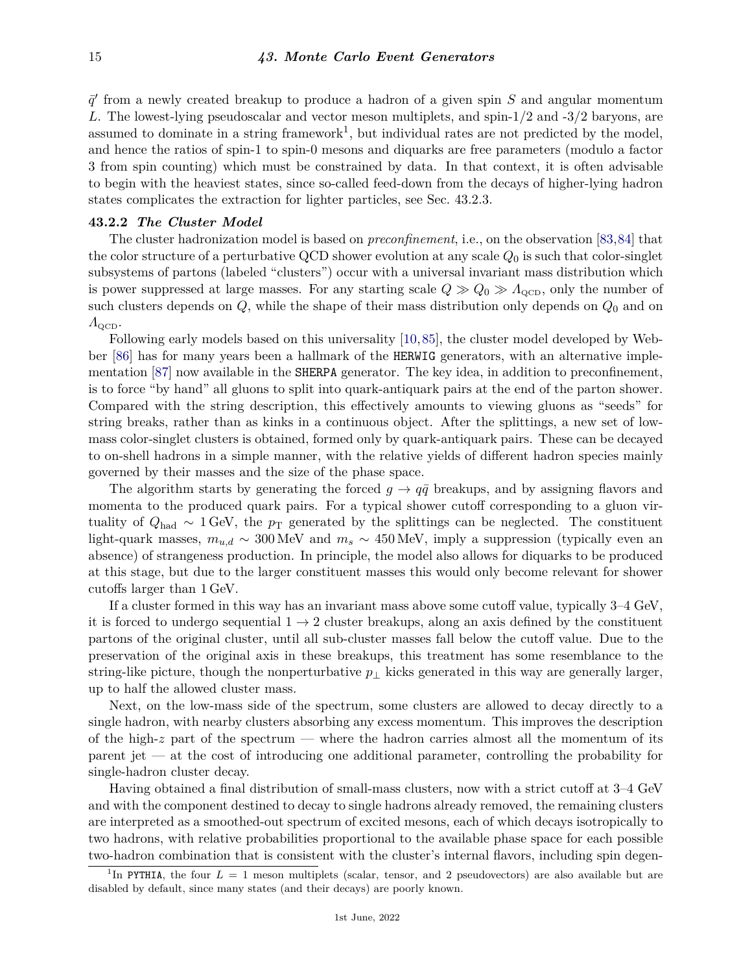$\bar{q}'$  from a newly created breakup to produce a hadron of a given spin  $S$  and angular momentum *L*. The lowest-lying pseudoscalar and vector meson multiplets, and spin-1/2 and -3/2 baryons, are assumed to dominate in a string framework<sup>[1](#page-14-0)</sup>, but individual rates are not predicted by the model, and hence the ratios of spin-1 to spin-0 mesons and diquarks are free parameters (modulo a factor 3 from spin counting) which must be constrained by data. In that context, it is often advisable to begin with the heaviest states, since so-called feed-down from the decays of higher-lying hadron states complicates the extraction for lighter particles, see Sec. 43.2.3.

# **43.2.2** *The Cluster Model*

The cluster hadronization model is based on *preconfinement*, i.e., on the observation [\[83,](#page-23-5)[84\]](#page-23-6) that the color structure of a perturbative QCD shower evolution at any scale *Q*<sup>0</sup> is such that color-singlet subsystems of partons (labeled "clusters") occur with a universal invariant mass distribution which is power suppressed at large masses. For any starting scale  $Q \gg Q_0 \gg \Lambda_{\rm QCD}$ , only the number of such clusters depends on *Q*, while the shape of their mass distribution only depends on *Q*<sup>0</sup> and on  $\Lambda_{\rm QCD}$ .

Following early models based on this universality [\[10,](#page-21-5)[85\]](#page-23-7), the cluster model developed by Webber [\[86\]](#page-23-8) has for many years been a hallmark of the HERWIG generators, with an alternative implementation [\[87\]](#page-23-9) now available in the SHERPA generator. The key idea, in addition to preconfinement, is to force "by hand" all gluons to split into quark-antiquark pairs at the end of the parton shower. Compared with the string description, this effectively amounts to viewing gluons as "seeds" for string breaks, rather than as kinks in a continuous object. After the splittings, a new set of lowmass color-singlet clusters is obtained, formed only by quark-antiquark pairs. These can be decayed to on-shell hadrons in a simple manner, with the relative yields of different hadron species mainly governed by their masses and the size of the phase space.

The algorithm starts by generating the forced  $q \to q\bar{q}$  breakups, and by assigning flavors and momenta to the produced quark pairs. For a typical shower cutoff corresponding to a gluon virtuality of  $Q_{\text{had}} \sim 1 \text{ GeV}$ , the  $p_{\text{T}}$  generated by the splittings can be neglected. The constituent light-quark masses,  $m_{u,d} \sim 300 \,\text{MeV}$  and  $m_s \sim 450 \,\text{MeV}$ , imply a suppression (typically even an absence) of strangeness production. In principle, the model also allows for diquarks to be produced at this stage, but due to the larger constituent masses this would only become relevant for shower cutoffs larger than 1 GeV.

If a cluster formed in this way has an invariant mass above some cutoff value, typically 3–4 GeV, it is forced to undergo sequential  $1 \rightarrow 2$  cluster breakups, along an axis defined by the constituent partons of the original cluster, until all sub-cluster masses fall below the cutoff value. Due to the preservation of the original axis in these breakups, this treatment has some resemblance to the string-like picture, though the nonperturbative *p*<sup>⊥</sup> kicks generated in this way are generally larger, up to half the allowed cluster mass.

Next, on the low-mass side of the spectrum, some clusters are allowed to decay directly to a single hadron, with nearby clusters absorbing any excess momentum. This improves the description of the high-*z* part of the spectrum — where the hadron carries almost all the momentum of its parent jet — at the cost of introducing one additional parameter, controlling the probability for single-hadron cluster decay.

Having obtained a final distribution of small-mass clusters, now with a strict cutoff at 3–4 GeV and with the component destined to decay to single hadrons already removed, the remaining clusters are interpreted as a smoothed-out spectrum of excited mesons, each of which decays isotropically to two hadrons, with relative probabilities proportional to the available phase space for each possible two-hadron combination that is consistent with the cluster's internal flavors, including spin degen-

<span id="page-14-0"></span><sup>&</sup>lt;sup>1</sup>In PYTHIA, the four  $L = 1$  meson multiplets (scalar, tensor, and 2 pseudovectors) are also available but are disabled by default, since many states (and their decays) are poorly known.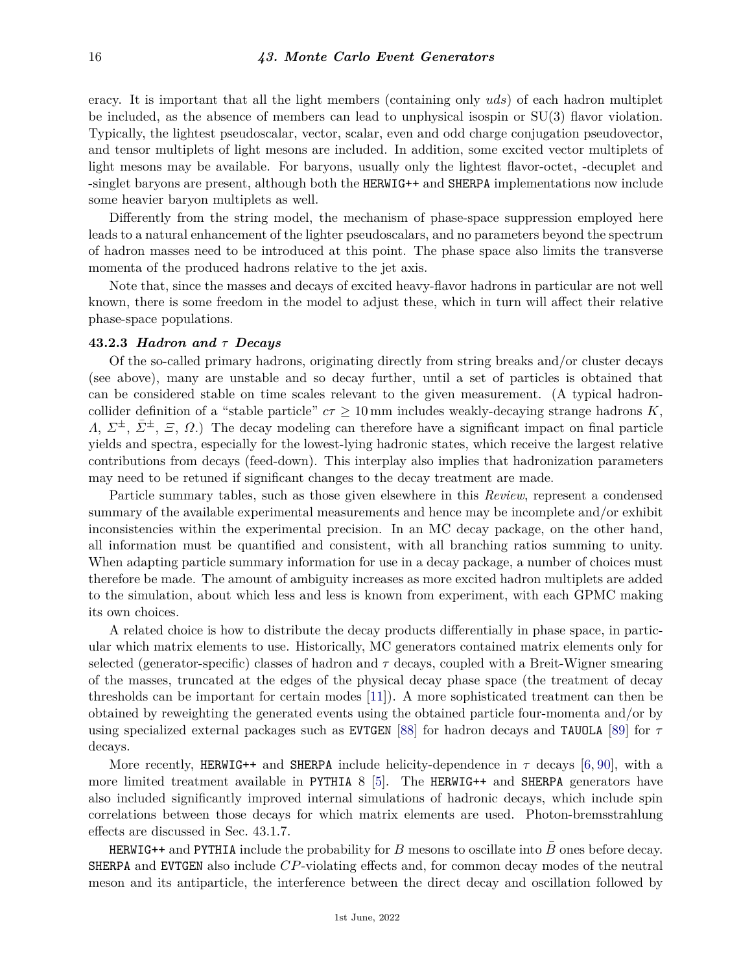eracy. It is important that all the light members (containing only *uds*) of each hadron multiplet be included, as the absence of members can lead to unphysical isospin or  $SU(3)$  flavor violation. Typically, the lightest pseudoscalar, vector, scalar, even and odd charge conjugation pseudovector, and tensor multiplets of light mesons are included. In addition, some excited vector multiplets of light mesons may be available. For baryons, usually only the lightest flavor-octet, -decuplet and -singlet baryons are present, although both the HERWIG++ and SHERPA implementations now include some heavier baryon multiplets as well.

Differently from the string model, the mechanism of phase-space suppression employed here leads to a natural enhancement of the lighter pseudoscalars, and no parameters beyond the spectrum of hadron masses need to be introduced at this point. The phase space also limits the transverse momenta of the produced hadrons relative to the jet axis.

Note that, since the masses and decays of excited heavy-flavor hadrons in particular are not well known, there is some freedom in the model to adjust these, which in turn will affect their relative phase-space populations.

# **43.2.3** *Hadron and τ Decays*

Of the so-called primary hadrons, originating directly from string breaks and/or cluster decays (see above), many are unstable and so decay further, until a set of particles is obtained that can be considered stable on time scales relevant to the given measurement. (A typical hadroncollider definition of a "stable particle"  $c\tau \geq 10 \,\text{mm}$  includes weakly-decaying strange hadrons K, *Λ*,  $\Sigma^{\pm}$ ,  $\overline{\Sigma}^{\pm}$ , *Ξ*, *Ω*.) The decay modeling can therefore have a significant impact on final particle yields and spectra, especially for the lowest-lying hadronic states, which receive the largest relative contributions from decays (feed-down). This interplay also implies that hadronization parameters may need to be retuned if significant changes to the decay treatment are made.

Particle summary tables, such as those given elsewhere in this *Review*, represent a condensed summary of the available experimental measurements and hence may be incomplete and/or exhibit inconsistencies within the experimental precision. In an MC decay package, on the other hand, all information must be quantified and consistent, with all branching ratios summing to unity. When adapting particle summary information for use in a decay package, a number of choices must therefore be made. The amount of ambiguity increases as more excited hadron multiplets are added to the simulation, about which less and less is known from experiment, with each GPMC making its own choices.

A related choice is how to distribute the decay products differentially in phase space, in particular which matrix elements to use. Historically, MC generators contained matrix elements only for selected (generator-specific) classes of hadron and *τ* decays, coupled with a Breit-Wigner smearing of the masses, truncated at the edges of the physical decay phase space (the treatment of decay thresholds can be important for certain modes [\[11\]](#page-21-6)). A more sophisticated treatment can then be obtained by reweighting the generated events using the obtained particle four-momenta and/or by using specialized external packages such as EVTGEN [\[88\]](#page-23-10) for hadron decays and TAUOLA [\[89\]](#page-23-11) for *τ* decays.

More recently, HERWIG++ and SHERPA include helicity-dependence in  $\tau$  decays [\[6,](#page-21-1) [90\]](#page-23-12), with a more limited treatment available in PYTHIA 8 [\[5\]](#page-21-0). The HERWIG++ and SHERPA generators have also included significantly improved internal simulations of hadronic decays, which include spin correlations between those decays for which matrix elements are used. Photon-bremsstrahlung effects are discussed in Sec. 43.1.7.

HERWIG++ and PYTHIA include the probability for  $B$  mesons to oscillate into  $B$  ones before decay. SHERPA and EVTGEN also include *CP*-violating effects and, for common decay modes of the neutral meson and its antiparticle, the interference between the direct decay and oscillation followed by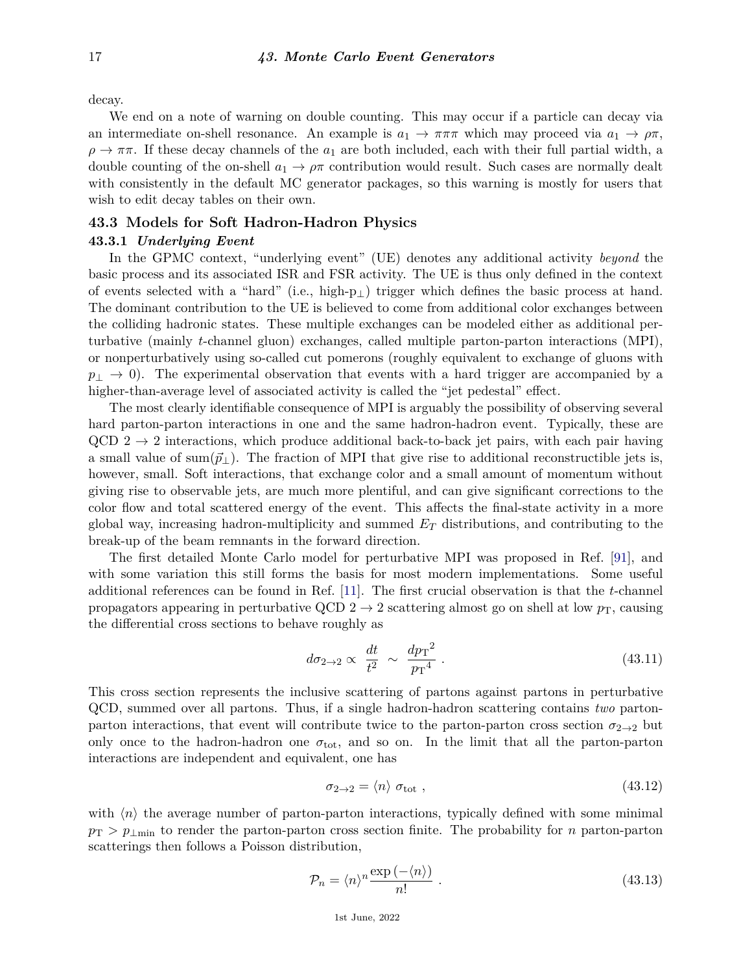decay.

We end on a note of warning on double counting. This may occur if a particle can decay via an intermediate on-shell resonance. An example is  $a_1 \to \pi \pi \pi$  which may proceed via  $a_1 \to \rho \pi$ ,  $\rho \rightarrow \pi \pi$ . If these decay channels of the  $a_1$  are both included, each with their full partial width, a double counting of the on-shell  $a_1 \rightarrow \rho \pi$  contribution would result. Such cases are normally dealt with consistently in the default MC generator packages, so this warning is mostly for users that wish to edit decay tables on their own.

# **43.3 Models for Soft Hadron-Hadron Physics**

# **43.3.1** *Underlying Event*

In the GPMC context, "underlying event" (UE) denotes any additional activity *beyond* the basic process and its associated ISR and FSR activity. The UE is thus only defined in the context of events selected with a "hard" (i.e., high-p⊥) trigger which defines the basic process at hand. The dominant contribution to the UE is believed to come from additional color exchanges between the colliding hadronic states. These multiple exchanges can be modeled either as additional perturbative (mainly *t*-channel gluon) exchanges, called multiple parton-parton interactions (MPI), or nonperturbatively using so-called cut pomerons (roughly equivalent to exchange of gluons with  $p_{\perp} \rightarrow 0$ ). The experimental observation that events with a hard trigger are accompanied by a higher-than-average level of associated activity is called the "jet pedestal" effect.

The most clearly identifiable consequence of MPI is arguably the possibility of observing several hard parton-parton interactions in one and the same hadron-hadron event. Typically, these are  $\rm QCD$  2  $\rightarrow$  2 interactions, which produce additional back-to-back jet pairs, with each pair having a small value of sum $(\vec{p}_\perp)$ . The fraction of MPI that give rise to additional reconstructible jets is, however, small. Soft interactions, that exchange color and a small amount of momentum without giving rise to observable jets, are much more plentiful, and can give significant corrections to the color flow and total scattered energy of the event. This affects the final-state activity in a more global way, increasing hadron-multiplicity and summed *E<sup>T</sup>* distributions, and contributing to the break-up of the beam remnants in the forward direction.

The first detailed Monte Carlo model for perturbative MPI was proposed in Ref. [\[91\]](#page-23-13), and with some variation this still forms the basis for most modern implementations. Some useful additional references can be found in Ref. [\[11\]](#page-21-6). The first crucial observation is that the *t*-channel propagators appearing in perturbative QCD  $2 \rightarrow 2$  scattering almost go on shell at low  $p<sub>T</sub>$ , causing the differential cross sections to behave roughly as

$$
d\sigma_{2\to 2} \propto \frac{dt}{t^2} \sim \frac{dp_T^2}{p_T^4} \,. \tag{43.11}
$$

This cross section represents the inclusive scattering of partons against partons in perturbative QCD, summed over all partons. Thus, if a single hadron-hadron scattering contains *two* partonparton interactions, that event will contribute twice to the parton-parton cross section  $\sigma_{2\to 2}$  but only once to the hadron-hadron one  $\sigma_{\text{tot}}$ , and so on. In the limit that all the parton-parton interactions are independent and equivalent, one has

$$
\sigma_{2 \to 2} = \langle n \rangle \; \sigma_{\text{tot}} \; , \tag{43.12}
$$

with  $\langle n \rangle$  the average number of parton-parton interactions, typically defined with some minimal *p*T *> p*<sub>⊥min</sub> to render the parton-parton cross section finite. The probability for *n* parton-parton scatterings then follows a Poisson distribution,

$$
\mathcal{P}_n = \langle n \rangle^n \frac{\exp\left(-\langle n \rangle\right)}{n!} \,. \tag{43.13}
$$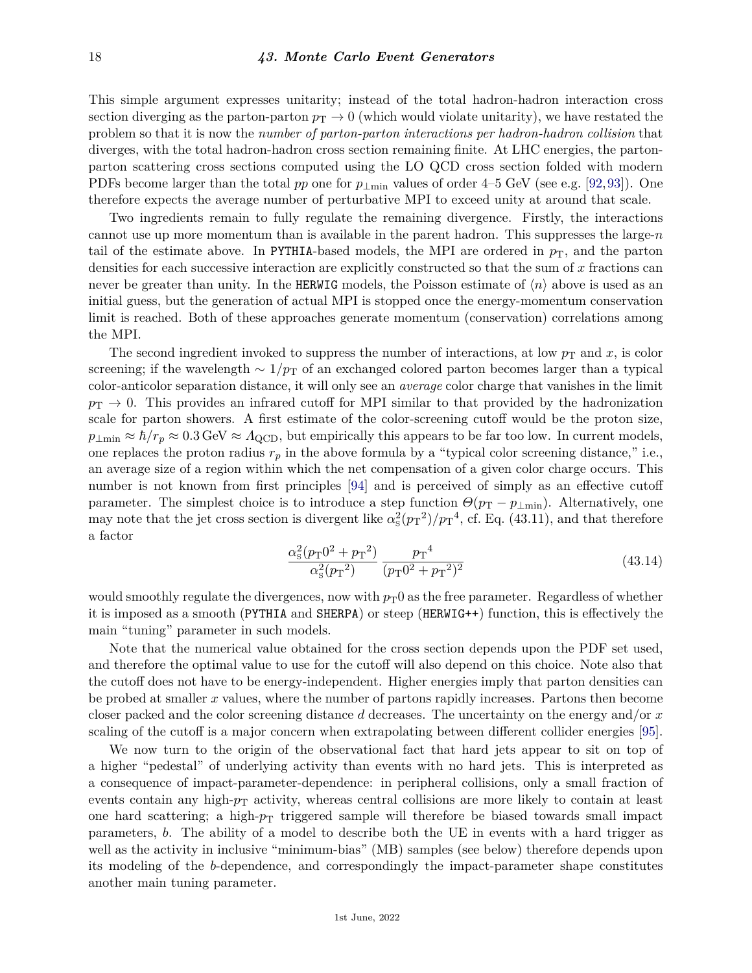This simple argument expresses unitarity; instead of the total hadron-hadron interaction cross section diverging as the parton-parton  $p_T \to 0$  (which would violate unitarity), we have restated the problem so that it is now the *number of parton-parton interactions per hadron-hadron collision* that diverges, with the total hadron-hadron cross section remaining finite. At LHC energies, the partonparton scattering cross sections computed using the LO QCD cross section folded with modern PDFs become larger than the total *pp* one for  $p_{\perp \text{min}}$  values of order 4–5 GeV (see e.g. [\[92,](#page-23-14)[93\]](#page-23-15)). One therefore expects the average number of perturbative MPI to exceed unity at around that scale.

Two ingredients remain to fully regulate the remaining divergence. Firstly, the interactions cannot use up more momentum than is available in the parent hadron. This suppresses the large-*n* tail of the estimate above. In PYTHIA-based models, the MPI are ordered in  $p<sub>T</sub>$ , and the parton densities for each successive interaction are explicitly constructed so that the sum of *x* fractions can never be greater than unity. In the HERWIG models, the Poisson estimate of  $\langle n \rangle$  above is used as an initial guess, but the generation of actual MPI is stopped once the energy-momentum conservation limit is reached. Both of these approaches generate momentum (conservation) correlations among the MPI.

The second ingredient invoked to suppress the number of interactions, at low  $p_T$  and  $x$ , is color screening; if the wavelength ~ 1/p<sub>T</sub> of an exchanged colored parton becomes larger than a typical color-anticolor separation distance, it will only see an *average* color charge that vanishes in the limit  $p_T \to 0$ . This provides an infrared cutoff for MPI similar to that provided by the hadronization scale for parton showers. A first estimate of the color-screening cutoff would be the proton size,  $p_{\perp min} \approx \hbar / r_p \approx 0.3$  GeV  $\approx \Lambda_{\rm QCD}$ , but empirically this appears to be far too low. In current models, one replaces the proton radius  $r_p$  in the above formula by a "typical color screening distance," i.e., an average size of a region within which the net compensation of a given color charge occurs. This number is not known from first principles [\[94\]](#page-23-16) and is perceived of simply as an effective cutoff parameter. The simplest choice is to introduce a step function  $\Theta(p_T - p_{\perp \text{min}})$ . Alternatively, one may note that the jet cross section is divergent like  $\alpha_s^2(p_T^2)/p_T^4$ , cf. Eq. (43.11), and that therefore a factor

$$
\frac{\alpha_s^2 (p_T 0^2 + p_T^2)}{\alpha_s^2 (p_T^2)} \frac{p_T^4}{(p_T 0^2 + p_T^2)^2}
$$
\n(43.14)

would smoothly regulate the divergences, now with  $p_T0$  as the free parameter. Regardless of whether it is imposed as a smooth (PYTHIA and SHERPA) or steep (HERWIG++) function, this is effectively the main "tuning" parameter in such models.

Note that the numerical value obtained for the cross section depends upon the PDF set used, and therefore the optimal value to use for the cutoff will also depend on this choice. Note also that the cutoff does not have to be energy-independent. Higher energies imply that parton densities can be probed at smaller *x* values, where the number of partons rapidly increases. Partons then become closer packed and the color screening distance *d* decreases. The uncertainty on the energy and/or *x* scaling of the cutoff is a major concern when extrapolating between different collider energies [\[95\]](#page-23-17).

We now turn to the origin of the observational fact that hard jets appear to sit on top of a higher "pedestal" of underlying activity than events with no hard jets. This is interpreted as a consequence of impact-parameter-dependence: in peripheral collisions, only a small fraction of events contain any high- $p<sub>T</sub>$  activity, whereas central collisions are more likely to contain at least one hard scattering; a high-*p*<sup>T</sup> triggered sample will therefore be biased towards small impact parameters, *b*. The ability of a model to describe both the UE in events with a hard trigger as well as the activity in inclusive "minimum-bias" (MB) samples (see below) therefore depends upon its modeling of the *b*-dependence, and correspondingly the impact-parameter shape constitutes another main tuning parameter.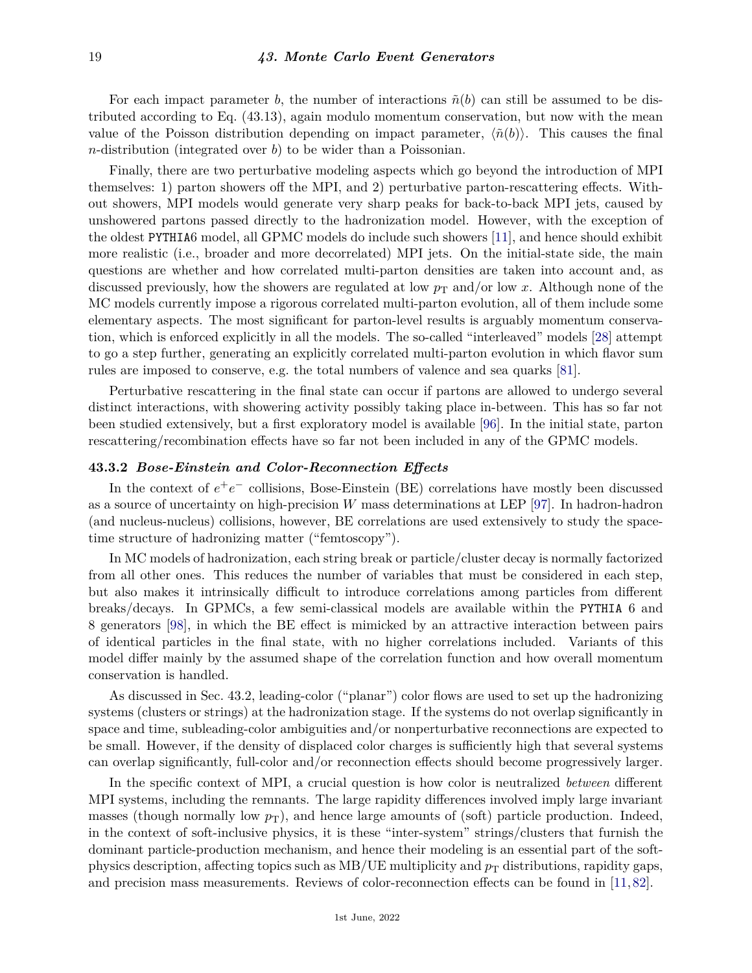For each impact parameter *b*, the number of interactions  $\tilde{n}(b)$  can still be assumed to be distributed according to Eq. (43.13), again modulo momentum conservation, but now with the mean value of the Poisson distribution depending on impact parameter,  $\langle \tilde{n}(b) \rangle$ . This causes the final *n*-distribution (integrated over *b*) to be wider than a Poissonian.

Finally, there are two perturbative modeling aspects which go beyond the introduction of MPI themselves: 1) parton showers off the MPI, and 2) perturbative parton-rescattering effects. Without showers, MPI models would generate very sharp peaks for back-to-back MPI jets, caused by unshowered partons passed directly to the hadronization model. However, with the exception of the oldest PYTHIA6 model, all GPMC models do include such showers [\[11\]](#page-21-6), and hence should exhibit more realistic (i.e., broader and more decorrelated) MPI jets. On the initial-state side, the main questions are whether and how correlated multi-parton densities are taken into account and, as discussed previously, how the showers are regulated at low  $p<sub>T</sub>$  and/or low x. Although none of the MC models currently impose a rigorous correlated multi-parton evolution, all of them include some elementary aspects. The most significant for parton-level results is arguably momentum conservation, which is enforced explicitly in all the models. The so-called "interleaved" models [\[28\]](#page-21-23) attempt to go a step further, generating an explicitly correlated multi-parton evolution in which flavor sum rules are imposed to conserve, e.g. the total numbers of valence and sea quarks [\[81\]](#page-23-3).

Perturbative rescattering in the final state can occur if partons are allowed to undergo several distinct interactions, with showering activity possibly taking place in-between. This has so far not been studied extensively, but a first exploratory model is available [\[96\]](#page-23-18). In the initial state, parton rescattering/recombination effects have so far not been included in any of the GPMC models.

# **43.3.2** *Bose-Einstein and Color-Reconnection Effects*

In the context of  $e^+e^-$  collisions, Bose-Einstein (BE) correlations have mostly been discussed as a source of uncertainty on high-precision *W* mass determinations at LEP [\[97\]](#page-23-19). In hadron-hadron (and nucleus-nucleus) collisions, however, BE correlations are used extensively to study the spacetime structure of hadronizing matter ("femtoscopy").

In MC models of hadronization, each string break or particle/cluster decay is normally factorized from all other ones. This reduces the number of variables that must be considered in each step, but also makes it intrinsically difficult to introduce correlations among particles from different breaks/decays. In GPMCs, a few semi-classical models are available within the PYTHIA 6 and 8 generators [\[98\]](#page-23-20), in which the BE effect is mimicked by an attractive interaction between pairs of identical particles in the final state, with no higher correlations included. Variants of this model differ mainly by the assumed shape of the correlation function and how overall momentum conservation is handled.

As discussed in Sec. 43.2, leading-color ("planar") color flows are used to set up the hadronizing systems (clusters or strings) at the hadronization stage. If the systems do not overlap significantly in space and time, subleading-color ambiguities and/or nonperturbative reconnections are expected to be small. However, if the density of displaced color charges is sufficiently high that several systems can overlap significantly, full-color and/or reconnection effects should become progressively larger.

In the specific context of MPI, a crucial question is how color is neutralized *between* different MPI systems, including the remnants. The large rapidity differences involved imply large invariant masses (though normally low  $p_T$ ), and hence large amounts of (soft) particle production. Indeed, in the context of soft-inclusive physics, it is these "inter-system" strings/clusters that furnish the dominant particle-production mechanism, and hence their modeling is an essential part of the softphysics description, affecting topics such as  $MB/UE$  multiplicity and  $p<sub>T</sub>$  distributions, rapidity gaps, and precision mass measurements. Reviews of color-reconnection effects can be found in [\[11,](#page-21-6) [82\]](#page-23-4).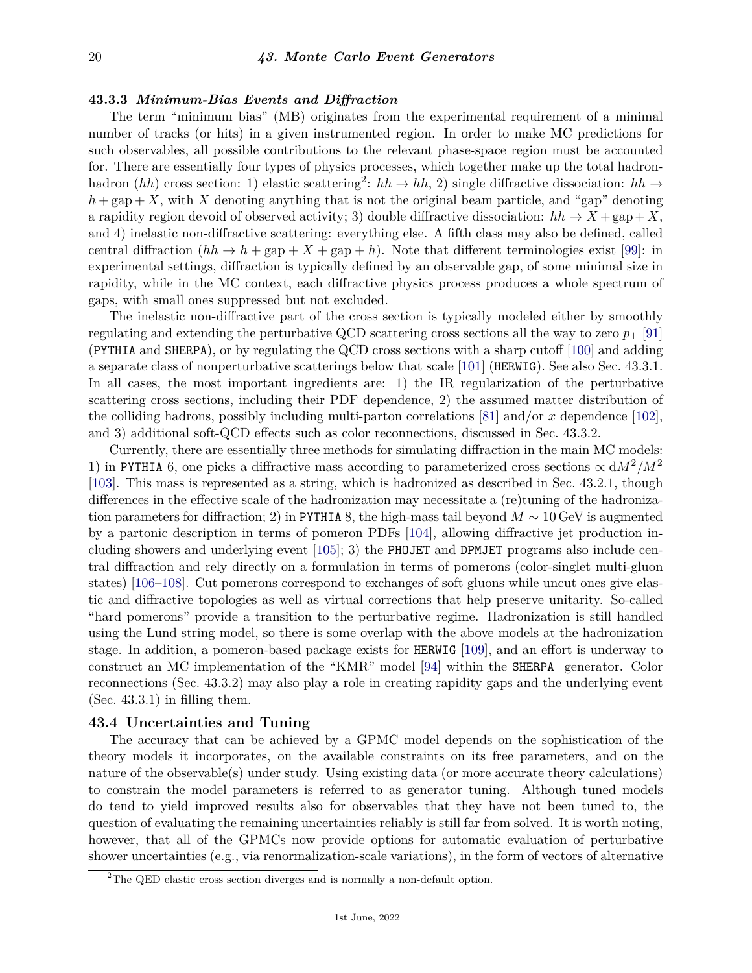# **43.3.3** *Minimum-Bias Events and Diffraction*

The term "minimum bias" (MB) originates from the experimental requirement of a minimal number of tracks (or hits) in a given instrumented region. In order to make MC predictions for such observables, all possible contributions to the relevant phase-space region must be accounted for. There are essentially four types of physics processes, which together make up the total hadronhadron (*hh*) cross section: 1) elastic scattering<sup>[2](#page-19-0)</sup>:  $hh \rightarrow hh$ , 2) single diffractive dissociation:  $hh \rightarrow$  $h + \text{gap} + X$ , with X denoting anything that is not the original beam particle, and "gap" denoting a rapidity region devoid of observed activity; 3) double diffractive dissociation:  $hh \rightarrow X + \text{gap} + X$ . and 4) inelastic non-diffractive scattering: everything else. A fifth class may also be defined, called central diffraction  $(hh \to h + \text{gap} + X + \text{gap} + h)$ . Note that different terminologies exist [\[99\]](#page-23-21): in experimental settings, diffraction is typically defined by an observable gap, of some minimal size in rapidity, while in the MC context, each diffractive physics process produces a whole spectrum of gaps, with small ones suppressed but not excluded.

The inelastic non-diffractive part of the cross section is typically modeled either by smoothly regulating and extending the perturbative QCD scattering cross sections all the way to zero *p*<sup>⊥</sup> [\[91\]](#page-23-13) (PYTHIA and SHERPA), or by regulating the QCD cross sections with a sharp cutoff [\[100\]](#page-23-22) and adding a separate class of nonperturbative scatterings below that scale [\[101\]](#page-23-23) (HERWIG). See also Sec. 43.3.1. In all cases, the most important ingredients are: 1) the IR regularization of the perturbative scattering cross sections, including their PDF dependence, 2) the assumed matter distribution of the colliding hadrons, possibly including multi-parton correlations [\[81\]](#page-23-3) and/or *x* dependence [\[102\]](#page-23-24), and 3) additional soft-QCD effects such as color reconnections, discussed in Sec. 43.3.2.

Currently, there are essentially three methods for simulating diffraction in the main MC models: 1) in PYTHIA 6, one picks a diffractive mass according to parameterized cross sections ∝ d*M*2*/M*<sup>2</sup> [\[103\]](#page-23-25). This mass is represented as a string, which is hadronized as described in Sec. 43.2.1, though differences in the effective scale of the hadronization may necessitate a (re)tuning of the hadronization parameters for diffraction; 2) in PYTHIA 8, the high-mass tail beyond *M* ∼ 10 GeV is augmented by a partonic description in terms of pomeron PDFs [\[104\]](#page-23-26), allowing diffractive jet production including showers and underlying event [\[105\]](#page-23-27); 3) the PHOJET and DPMJET programs also include central diffraction and rely directly on a formulation in terms of pomerons (color-singlet multi-gluon states) [\[106–](#page-23-28)[108\]](#page-23-29). Cut pomerons correspond to exchanges of soft gluons while uncut ones give elastic and diffractive topologies as well as virtual corrections that help preserve unitarity. So-called "hard pomerons" provide a transition to the perturbative regime. Hadronization is still handled using the Lund string model, so there is some overlap with the above models at the hadronization stage. In addition, a pomeron-based package exists for HERWIG [\[109\]](#page-23-30), and an effort is underway to construct an MC implementation of the "KMR" model [\[94\]](#page-23-16) within the SHERPA generator. Color reconnections (Sec. 43.3.2) may also play a role in creating rapidity gaps and the underlying event (Sec. 43.3.1) in filling them.

# **43.4 Uncertainties and Tuning**

The accuracy that can be achieved by a GPMC model depends on the sophistication of the theory models it incorporates, on the available constraints on its free parameters, and on the nature of the observable(s) under study. Using existing data (or more accurate theory calculations) to constrain the model parameters is referred to as generator tuning. Although tuned models do tend to yield improved results also for observables that they have not been tuned to, the question of evaluating the remaining uncertainties reliably is still far from solved. It is worth noting, however, that all of the GPMCs now provide options for automatic evaluation of perturbative shower uncertainties (e.g., via renormalization-scale variations), in the form of vectors of alternative

<span id="page-19-0"></span><sup>&</sup>lt;sup>2</sup>The QED elastic cross section diverges and is normally a non-default option.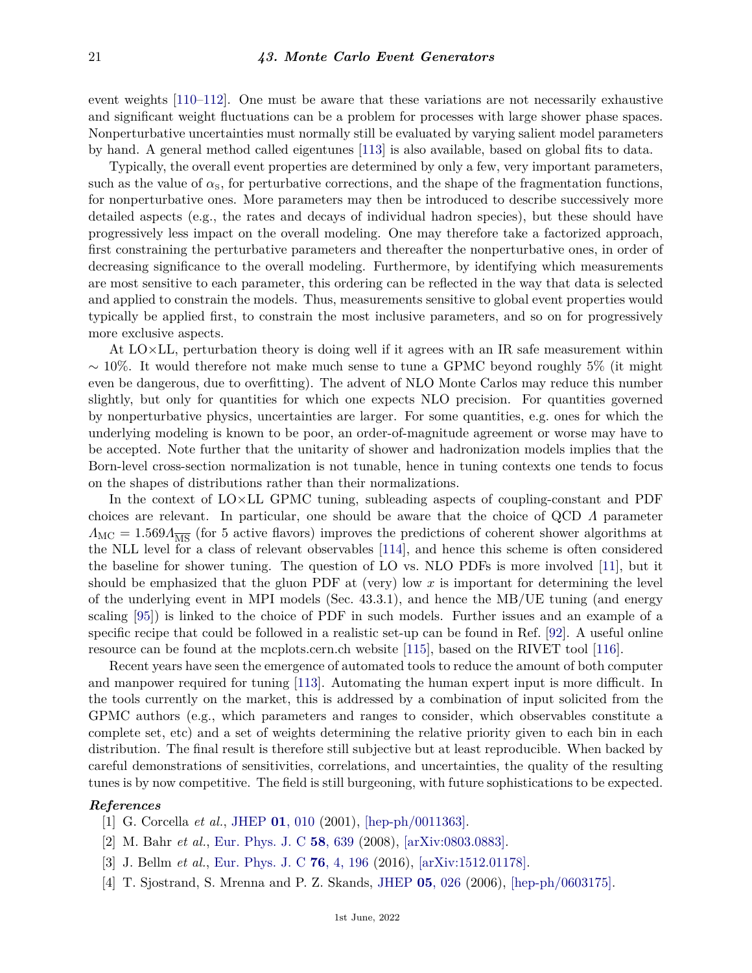event weights [\[110–](#page-23-31)[112\]](#page-24-0). One must be aware that these variations are not necessarily exhaustive and significant weight fluctuations can be a problem for processes with large shower phase spaces. Nonperturbative uncertainties must normally still be evaluated by varying salient model parameters by hand. A general method called eigentunes [\[113\]](#page-24-1) is also available, based on global fits to data.

Typically, the overall event properties are determined by only a few, very important parameters, such as the value of  $\alpha_{\rm s}$ , for perturbative corrections, and the shape of the fragmentation functions, for nonperturbative ones. More parameters may then be introduced to describe successively more detailed aspects (e.g., the rates and decays of individual hadron species), but these should have progressively less impact on the overall modeling. One may therefore take a factorized approach, first constraining the perturbative parameters and thereafter the nonperturbative ones, in order of decreasing significance to the overall modeling. Furthermore, by identifying which measurements are most sensitive to each parameter, this ordering can be reflected in the way that data is selected and applied to constrain the models. Thus, measurements sensitive to global event properties would typically be applied first, to constrain the most inclusive parameters, and so on for progressively more exclusive aspects.

At LO×LL, perturbation theory is doing well if it agrees with an IR safe measurement within  $\sim$  10%. It would therefore not make much sense to tune a GPMC beyond roughly 5% (it might even be dangerous, due to overfitting). The advent of NLO Monte Carlos may reduce this number slightly, but only for quantities for which one expects NLO precision. For quantities governed by nonperturbative physics, uncertainties are larger. For some quantities, e.g. ones for which the underlying modeling is known to be poor, an order-of-magnitude agreement or worse may have to be accepted. Note further that the unitarity of shower and hadronization models implies that the Born-level cross-section normalization is not tunable, hence in tuning contexts one tends to focus on the shapes of distributions rather than their normalizations.

In the context of LO×LL GPMC tuning, subleading aspects of coupling-constant and PDF choices are relevant. In particular, one should be aware that the choice of QCD *Λ* parameter  $A_{MC} = 1.569 A_{\overline{MS}}$  (for 5 active flavors) improves the predictions of coherent shower algorithms at the NLL level for a class of relevant observables [\[114\]](#page-24-2), and hence this scheme is often considered the baseline for shower tuning. The question of LO vs. NLO PDFs is more involved [\[11\]](#page-21-6), but it should be emphasized that the gluon PDF at (very) low *x* is important for determining the level of the underlying event in MPI models (Sec. 43.3.1), and hence the MB/UE tuning (and energy scaling [\[95\]](#page-23-17)) is linked to the choice of PDF in such models. Further issues and an example of a specific recipe that could be followed in a realistic set-up can be found in Ref. [\[92\]](#page-23-14). A useful online resource can be found at the mcplots.cern.ch website [\[115\]](#page-24-3), based on the RIVET tool [\[116\]](#page-24-4).

Recent years have seen the emergence of automated tools to reduce the amount of both computer and manpower required for tuning [\[113\]](#page-24-1). Automating the human expert input is more difficult. In the tools currently on the market, this is addressed by a combination of input solicited from the GPMC authors (e.g., which parameters and ranges to consider, which observables constitute a complete set, etc) and a set of weights determining the relative priority given to each bin in each distribution. The final result is therefore still subjective but at least reproducible. When backed by careful demonstrations of sensitivities, correlations, and uncertainties, the quality of the resulting tunes is by now competitive. The field is still burgeoning, with future sophistications to be expected.

# <span id="page-20-0"></span>*References*

- [1] G. Corcella *et al.*, [JHEP](http://doi.org/10.1088/1126-6708/2001/01/010) **01**[, 010](http://doi.org/10.1088/1126-6708/2001/01/010) (2001), [\[hep-ph/0011363\].](https://arxiv.org/abs/hep-ph/0011363)
- <span id="page-20-1"></span>[2] M. Bahr *et al.*, [Eur. Phys. J. C](http://doi.org/10.1140/epjc/s10052-008-0798-9) **58**[, 639](http://doi.org/10.1140/epjc/s10052-008-0798-9) (2008), [\[arXiv:0803.0883\].](https://arxiv.org/abs/0803.0883)
- [3] J. Bellm *et al.*, [Eur. Phys. J. C](http://doi.org/10.1140/epjc/s10052-016-4018-8) **76**[, 4, 196](http://doi.org/10.1140/epjc/s10052-016-4018-8) (2016), [\[arXiv:1512.01178\].](https://arxiv.org/abs/1512.01178)
- <span id="page-20-2"></span>[4] T. Sjostrand, S. Mrenna and P. Z. Skands, [JHEP](http://doi.org/10.1088/1126-6708/2006/05/026) **05**[, 026](http://doi.org/10.1088/1126-6708/2006/05/026) (2006), [\[hep-ph/0603175\].](https://arxiv.org/abs/hep-ph/0603175)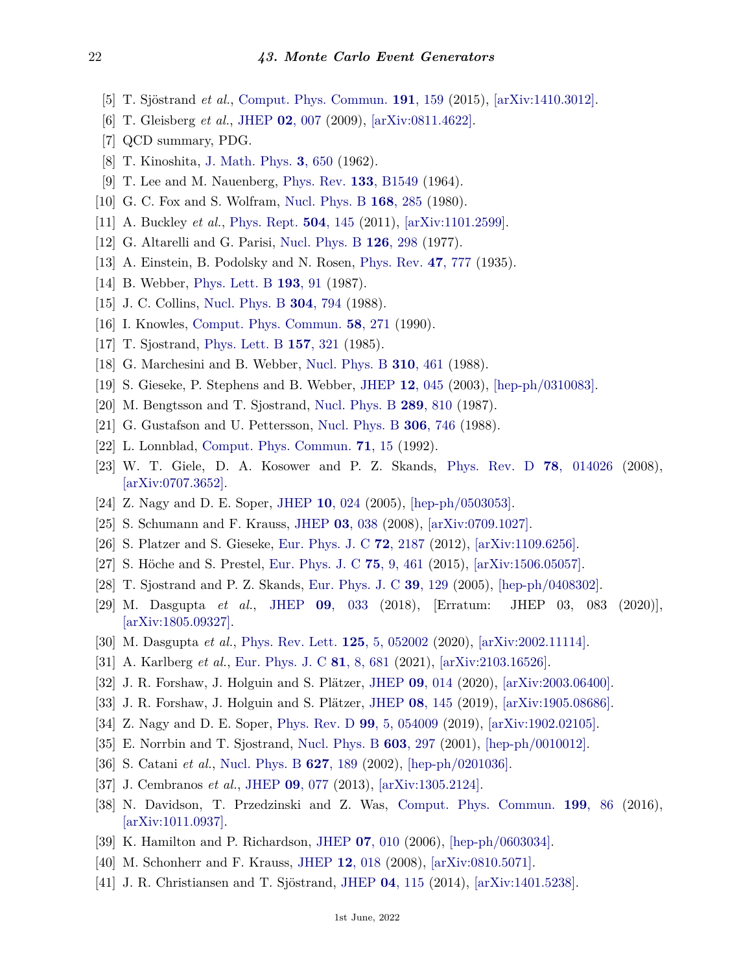- <span id="page-21-0"></span>[5] T. Sjöstrand *et al.*, [Comput. Phys. Commun.](http://doi.org/10.1016/j.cpc.2015.01.024) **191**[, 159](http://doi.org/10.1016/j.cpc.2015.01.024) (2015), [\[arXiv:1410.3012\].](https://arxiv.org/abs/1410.3012)
- <span id="page-21-1"></span>[6] T. Gleisberg *et al.*, [JHEP](http://doi.org/10.1088/1126-6708/2009/02/007) **02**[, 007](http://doi.org/10.1088/1126-6708/2009/02/007) (2009), [\[arXiv:0811.4622\].](https://arxiv.org/abs/0811.4622)
- <span id="page-21-2"></span>[7] QCD summary, PDG.
- <span id="page-21-3"></span>[8] T. Kinoshita, [J. Math. Phys.](http://doi.org/10.1063/1.1724268) **3**[, 650](http://doi.org/10.1063/1.1724268) (1962).
- <span id="page-21-4"></span>[9] T. Lee and M. Nauenberg, [Phys. Rev.](http://doi.org/10.1103/PhysRev.133.B1549) **133**[, B1549](http://doi.org/10.1103/PhysRev.133.B1549) (1964).
- <span id="page-21-5"></span>[10] G. C. Fox and S. Wolfram, [Nucl. Phys. B](http://doi.org/10.1016/0550-3213(80)90111-X) **168**[, 285](http://doi.org/10.1016/0550-3213(80)90111-X) (1980).
- <span id="page-21-6"></span>[11] A. Buckley *et al.*, [Phys. Rept.](http://doi.org/10.1016/j.physrep.2011.03.005) **504**[, 145](http://doi.org/10.1016/j.physrep.2011.03.005) (2011), [\[arXiv:1101.2599\].](https://arxiv.org/abs/1101.2599)
- <span id="page-21-7"></span>[12] G. Altarelli and G. Parisi, [Nucl. Phys. B](http://doi.org/10.1016/0550-3213(77)90384-4) **126**[, 298](http://doi.org/10.1016/0550-3213(77)90384-4) (1977).
- <span id="page-21-8"></span>[13] A. Einstein, B. Podolsky and N. Rosen, [Phys. Rev.](http://doi.org/10.1103/PhysRev.47.777) **47**[, 777](http://doi.org/10.1103/PhysRev.47.777) (1935).
- <span id="page-21-9"></span>[14] B. Webber, [Phys. Lett. B](http://doi.org/10.1016/0370-2693(87)90461-8) **[193](http://doi.org/10.1016/0370-2693(87)90461-8)**, 91 (1987).
- <span id="page-21-10"></span>[15] J. C. Collins, [Nucl. Phys. B](http://doi.org/10.1016/0550-3213(88)90654-2) **304**[, 794](http://doi.org/10.1016/0550-3213(88)90654-2) (1988).
- <span id="page-21-11"></span>[16] I. Knowles, [Comput. Phys. Commun.](http://doi.org/10.1016/0010-4655(90)90063-7) **58**[, 271](http://doi.org/10.1016/0010-4655(90)90063-7) (1990).
- <span id="page-21-12"></span>[17] T. Sjostrand, [Phys. Lett. B](http://doi.org/10.1016/0370-2693(85)90674-4) **157**[, 321](http://doi.org/10.1016/0370-2693(85)90674-4) (1985).
- <span id="page-21-13"></span>[18] G. Marchesini and B. Webber, [Nucl. Phys. B](http://doi.org/10.1016/0550-3213(88)90089-2) **310**[, 461](http://doi.org/10.1016/0550-3213(88)90089-2) (1988).
- <span id="page-21-14"></span>[19] S. Gieseke, P. Stephens and B. Webber, [JHEP](http://doi.org/10.1088/1126-6708/2003/12/045) **12**[, 045](http://doi.org/10.1088/1126-6708/2003/12/045) (2003), [\[hep-ph/0310083\].](https://arxiv.org/abs/hep-ph/0310083)
- <span id="page-21-15"></span>[20] M. Bengtsson and T. Sjostrand, [Nucl. Phys. B](http://doi.org/10.1016/0550-3213(87)90407-X) **289**[, 810](http://doi.org/10.1016/0550-3213(87)90407-X) (1987).
- <span id="page-21-16"></span>[21] G. Gustafson and U. Pettersson, [Nucl. Phys. B](http://doi.org/10.1016/0550-3213(88)90441-5) **306**[, 746](http://doi.org/10.1016/0550-3213(88)90441-5) (1988).
- <span id="page-21-17"></span>[22] L. Lonnblad, [Comput. Phys. Commun.](http://doi.org/10.1016/0010-4655(92)90068-A) **71**[, 15](http://doi.org/10.1016/0010-4655(92)90068-A) (1992).
- <span id="page-21-18"></span>[23] W. T. Giele, D. A. Kosower and P. Z. Skands, [Phys. Rev. D](http://doi.org/10.1103/PhysRevD.78.014026) **78**[, 014026](http://doi.org/10.1103/PhysRevD.78.014026) (2008), [\[arXiv:0707.3652\].](https://arxiv.org/abs/0707.3652)
- <span id="page-21-19"></span>[24] Z. Nagy and D. E. Soper, [JHEP](http://doi.org/10.1088/1126-6708/2005/10/024) **10**[, 024](http://doi.org/10.1088/1126-6708/2005/10/024) (2005), [\[hep-ph/0503053\].](https://arxiv.org/abs/hep-ph/0503053)
- <span id="page-21-20"></span>[25] S. Schumann and F. Krauss, [JHEP](http://doi.org/10.1088/1126-6708/2008/03/038) **03**[, 038](http://doi.org/10.1088/1126-6708/2008/03/038) (2008), [\[arXiv:0709.1027\].](https://arxiv.org/abs/0709.1027)
- <span id="page-21-21"></span>[26] S. Platzer and S. Gieseke, [Eur. Phys. J. C](http://doi.org/10.1140/epjc/s10052-012-2187-7) **72**[, 2187](http://doi.org/10.1140/epjc/s10052-012-2187-7) (2012), [\[arXiv:1109.6256\].](https://arxiv.org/abs/1109.6256)
- <span id="page-21-22"></span>[27] S. Höche and S. Prestel, [Eur. Phys. J. C](http://doi.org/10.1140/epjc/s10052-015-3684-2) **75**[, 9, 461](http://doi.org/10.1140/epjc/s10052-015-3684-2) (2015), [\[arXiv:1506.05057\].](https://arxiv.org/abs/1506.05057)
- <span id="page-21-23"></span>[28] T. Sjostrand and P. Z. Skands, [Eur. Phys. J. C](http://doi.org/10.1140/epjc/s2004-02084-y) **39**[, 129](http://doi.org/10.1140/epjc/s2004-02084-y) (2005), [\[hep-ph/0408302\].](https://arxiv.org/abs/hep-ph/0408302)
- <span id="page-21-24"></span>[29] M. Dasgupta *et al.*, [JHEP](http://doi.org/10.1007/JHEP09(2018)033) **09**[, 033](http://doi.org/10.1007/JHEP09(2018)033) (2018), [Erratum: JHEP 03, 083 (2020)], [\[arXiv:1805.09327\].](https://arxiv.org/abs/1805.09327)
- [30] M. Dasgupta *et al.*, [Phys. Rev. Lett.](http://doi.org/10.1103/PhysRevLett.125.052002) **125**[, 5, 052002](http://doi.org/10.1103/PhysRevLett.125.052002) (2020), [\[arXiv:2002.11114\].](https://arxiv.org/abs/2002.11114)
- <span id="page-21-26"></span>[31] A. Karlberg *et al.*, [Eur. Phys. J. C](http://doi.org/10.1140/epjc/s10052-021-09378-0) **81**[, 8, 681](http://doi.org/10.1140/epjc/s10052-021-09378-0) (2021), [\[arXiv:2103.16526\].](https://arxiv.org/abs/2103.16526)
- [32] J. R. Forshaw, J. Holguin and S. Plätzer, [JHEP](http://doi.org/10.1007/JHEP09(2020)014) **09**[, 014](http://doi.org/10.1007/JHEP09(2020)014) (2020), [\[arXiv:2003.06400\].](https://arxiv.org/abs/2003.06400)
- [33] J. R. Forshaw, J. Holguin and S. Plätzer, [JHEP](http://doi.org/10.1007/JHEP08(2019)145) **08**[, 145](http://doi.org/10.1007/JHEP08(2019)145) (2019), [\[arXiv:1905.08686\].](https://arxiv.org/abs/1905.08686)
- <span id="page-21-25"></span>[34] Z. Nagy and D. E. Soper, [Phys. Rev. D](http://doi.org/10.1103/PhysRevD.99.054009) **99**[, 5, 054009](http://doi.org/10.1103/PhysRevD.99.054009) (2019), [\[arXiv:1902.02105\].](https://arxiv.org/abs/1902.02105)
- <span id="page-21-27"></span>[35] E. Norrbin and T. Sjostrand, [Nucl. Phys. B](http://doi.org/10.1016/S0550-3213(01)00099-2) **603**[, 297](http://doi.org/10.1016/S0550-3213(01)00099-2) (2001), [\[hep-ph/0010012\].](https://arxiv.org/abs/hep-ph/0010012)
- <span id="page-21-28"></span>[36] S. Catani *et al.*, [Nucl. Phys. B](http://doi.org/10.1016/S0550-3213(02)00098-6) **627**[, 189](http://doi.org/10.1016/S0550-3213(02)00098-6) (2002), [\[hep-ph/0201036\].](https://arxiv.org/abs/hep-ph/0201036)
- <span id="page-21-29"></span>[37] J. Cembranos *et al.*, [JHEP](http://doi.org/10.1007/JHEP09(2013)077) **09**[, 077](http://doi.org/10.1007/JHEP09(2013)077) (2013), [\[arXiv:1305.2124\].](https://arxiv.org/abs/1305.2124)
- <span id="page-21-30"></span>[38] N. Davidson, T. Przedzinski and Z. Was, [Comput. Phys. Commun.](http://doi.org/10.1016/j.cpc.2015.09.013) **199**[, 86](http://doi.org/10.1016/j.cpc.2015.09.013) (2016), [\[arXiv:1011.0937\].](https://arxiv.org/abs/1011.0937)
- <span id="page-21-31"></span>[39] K. Hamilton and P. Richardson, [JHEP](http://doi.org/10.1088/1126-6708/2006/07/010) **07**[, 010](http://doi.org/10.1088/1126-6708/2006/07/010) (2006), [\[hep-ph/0603034\].](https://arxiv.org/abs/hep-ph/0603034)
- <span id="page-21-32"></span>[40] M. Schonherr and F. Krauss, [JHEP](http://doi.org/10.1088/1126-6708/2008/12/018) **12**[, 018](http://doi.org/10.1088/1126-6708/2008/12/018) (2008), [\[arXiv:0810.5071\].](https://arxiv.org/abs/0810.5071)
- <span id="page-21-33"></span>[41] J. R. Christiansen and T. Sjöstrand, [JHEP](http://doi.org/10.1007/JHEP04(2014)115) **04**[, 115](http://doi.org/10.1007/JHEP04(2014)115) (2014), [\[arXiv:1401.5238\].](https://arxiv.org/abs/1401.5238)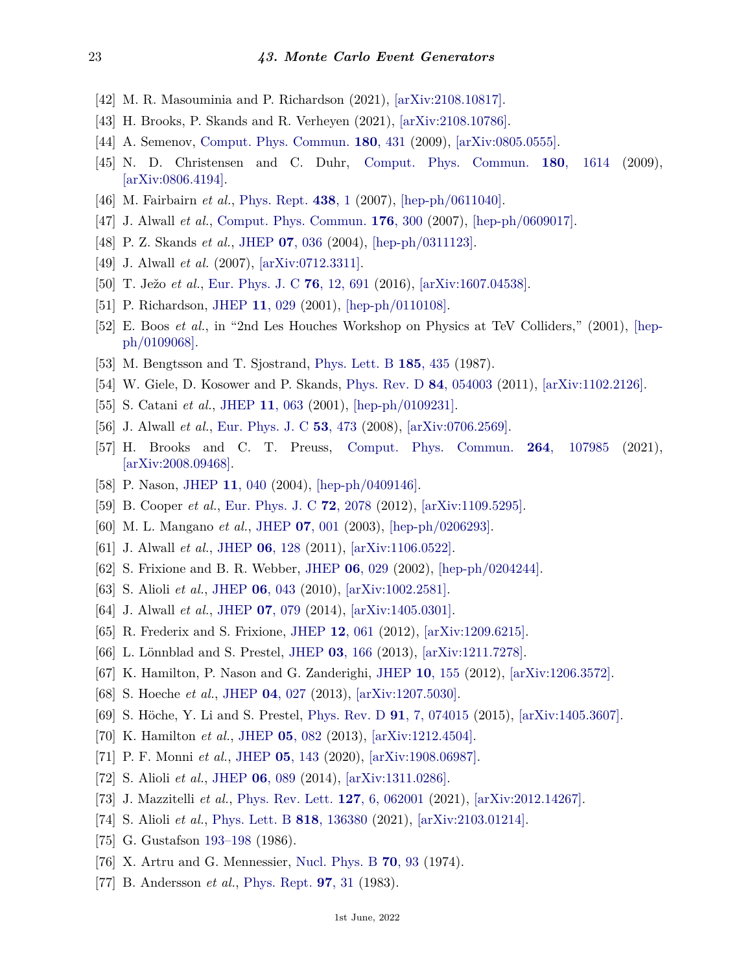- <span id="page-22-0"></span>[42] M. R. Masouminia and P. Richardson (2021), [\[arXiv:2108.10817\].](https://arxiv.org/abs/2108.10817)
- <span id="page-22-1"></span>[43] H. Brooks, P. Skands and R. Verheyen (2021), [\[arXiv:2108.10786\].](https://arxiv.org/abs/2108.10786)
- <span id="page-22-2"></span>[44] A. Semenov, [Comput. Phys. Commun.](http://doi.org/10.1016/j.cpc.2008.10.012) **180**[, 431](http://doi.org/10.1016/j.cpc.2008.10.012) (2009), [\[arXiv:0805.0555\].](https://arxiv.org/abs/0805.0555)
- <span id="page-22-3"></span>[45] N. D. Christensen and C. Duhr, [Comput. Phys. Commun.](http://doi.org/10.1016/j.cpc.2009.02.018) **180**[, 1614](http://doi.org/10.1016/j.cpc.2009.02.018) (2009), [\[arXiv:0806.4194\].](https://arxiv.org/abs/0806.4194)
- <span id="page-22-4"></span>[46] M. Fairbairn *et al.*, [Phys. Rept.](http://doi.org/10.1016/j.physrep.2006.10.002) **[438](http://doi.org/10.1016/j.physrep.2006.10.002)**, 1 (2007), [\[hep-ph/0611040\].](https://arxiv.org/abs/hep-ph/0611040)
- <span id="page-22-5"></span>[47] J. Alwall *et al.*, [Comput. Phys. Commun.](http://doi.org/10.1016/j.cpc.2006.11.010) **176**[, 300](http://doi.org/10.1016/j.cpc.2006.11.010) (2007), [\[hep-ph/0609017\].](https://arxiv.org/abs/hep-ph/0609017)
- <span id="page-22-6"></span>[48] P. Z. Skands *et al.*, [JHEP](http://doi.org/10.1088/1126-6708/2004/07/036) **07**[, 036](http://doi.org/10.1088/1126-6708/2004/07/036) (2004), [\[hep-ph/0311123\].](https://arxiv.org/abs/hep-ph/0311123)
- <span id="page-22-7"></span>[49] J. Alwall *et al.* (2007), [\[arXiv:0712.3311\].](https://arxiv.org/abs/0712.3311)
- <span id="page-22-8"></span>[50] T. Ježo *et al.*, [Eur. Phys. J. C](http://doi.org/10.1140/epjc/s10052-016-4538-2) **76**[, 12, 691](http://doi.org/10.1140/epjc/s10052-016-4538-2) (2016), [\[arXiv:1607.04538\].](https://arxiv.org/abs/1607.04538)
- <span id="page-22-9"></span>[51] P. Richardson, [JHEP](http://doi.org/10.1088/1126-6708/2001/11/029) **11**[, 029](http://doi.org/10.1088/1126-6708/2001/11/029) (2001), [\[hep-ph/0110108\].](https://arxiv.org/abs/hep-ph/0110108)
- <span id="page-22-10"></span>[52] E. Boos *et al.*, in "2nd Les Houches Workshop on Physics at TeV Colliders," (2001), [\[hep](https://arxiv.org/abs/hep-ph/0109068)[ph/0109068\].](https://arxiv.org/abs/hep-ph/0109068)
- <span id="page-22-11"></span>[53] M. Bengtsson and T. Sjostrand, [Phys. Lett. B](http://doi.org/10.1016/0370-2693(87)91031-8) **185**[, 435](http://doi.org/10.1016/0370-2693(87)91031-8) (1987).
- <span id="page-22-12"></span>[54] W. Giele, D. Kosower and P. Skands, [Phys. Rev. D](http://doi.org/10.1103/PhysRevD.84.054003) **84**[, 054003](http://doi.org/10.1103/PhysRevD.84.054003) (2011), [\[arXiv:1102.2126\].](https://arxiv.org/abs/1102.2126)
- <span id="page-22-13"></span>[55] S. Catani *et al.*, [JHEP](http://doi.org/10.1088/1126-6708/2001/11/063) **11**[, 063](http://doi.org/10.1088/1126-6708/2001/11/063) (2001), [\[hep-ph/0109231\].](https://arxiv.org/abs/hep-ph/0109231)
- <span id="page-22-14"></span>[56] J. Alwall *et al.*, [Eur. Phys. J. C](http://doi.org/10.1140/epjc/s10052-007-0490-5) **53**[, 473](http://doi.org/10.1140/epjc/s10052-007-0490-5) (2008), [\[arXiv:0706.2569\].](https://arxiv.org/abs/0706.2569)
- <span id="page-22-15"></span>[57] H. Brooks and C. T. Preuss, [Comput. Phys. Commun.](http://doi.org/10.1016/j.cpc.2021.107985) **264**[, 107985](http://doi.org/10.1016/j.cpc.2021.107985) (2021), [\[arXiv:2008.09468\].](https://arxiv.org/abs/2008.09468)
- <span id="page-22-16"></span>[58] P. Nason, [JHEP](http://doi.org/10.1088/1126-6708/2004/11/040) **11**[, 040](http://doi.org/10.1088/1126-6708/2004/11/040) (2004), [\[hep-ph/0409146\].](https://arxiv.org/abs/hep-ph/0409146)
- <span id="page-22-17"></span>[59] B. Cooper *et al.*, [Eur. Phys. J. C](http://doi.org/10.1140/epjc/s10052-012-2078-y) **72**[, 2078](http://doi.org/10.1140/epjc/s10052-012-2078-y) (2012), [\[arXiv:1109.5295\].](https://arxiv.org/abs/1109.5295)
- <span id="page-22-18"></span>[60] M. L. Mangano *et al.*, [JHEP](http://doi.org/10.1088/1126-6708/2003/07/001) **07**[, 001](http://doi.org/10.1088/1126-6708/2003/07/001) (2003), [\[hep-ph/0206293\].](https://arxiv.org/abs/hep-ph/0206293)
- <span id="page-22-19"></span>[61] J. Alwall *et al.*, [JHEP](http://doi.org/10.1007/JHEP06(2011)128) **06**[, 128](http://doi.org/10.1007/JHEP06(2011)128) (2011), [\[arXiv:1106.0522\].](https://arxiv.org/abs/1106.0522)
- <span id="page-22-20"></span>[62] S. Frixione and B. R. Webber, [JHEP](http://doi.org/10.1088/1126-6708/2002/06/029) **06**[, 029](http://doi.org/10.1088/1126-6708/2002/06/029) (2002), [\[hep-ph/0204244\].](https://arxiv.org/abs/hep-ph/0204244)
- <span id="page-22-21"></span>[63] S. Alioli *et al.*, [JHEP](http://doi.org/10.1007/JHEP06(2010)043) **06**[, 043](http://doi.org/10.1007/JHEP06(2010)043) (2010), [\[arXiv:1002.2581\].](https://arxiv.org/abs/1002.2581)
- <span id="page-22-22"></span>[64] J. Alwall *et al.*, [JHEP](http://doi.org/10.1007/JHEP07(2014)079) **07**[, 079](http://doi.org/10.1007/JHEP07(2014)079) (2014), [\[arXiv:1405.0301\].](https://arxiv.org/abs/1405.0301)
- <span id="page-22-23"></span>[65] R. Frederix and S. Frixione, [JHEP](http://doi.org/10.1007/JHEP12(2012)061) **12**[, 061](http://doi.org/10.1007/JHEP12(2012)061) (2012), [\[arXiv:1209.6215\].](https://arxiv.org/abs/1209.6215)
- <span id="page-22-24"></span>[66] L. Lönnblad and S. Prestel, [JHEP](http://doi.org/10.1007/JHEP03(2013)166) **03**[, 166](http://doi.org/10.1007/JHEP03(2013)166) (2013), [\[arXiv:1211.7278\].](https://arxiv.org/abs/1211.7278)
- <span id="page-22-25"></span>[67] K. Hamilton, P. Nason and G. Zanderighi, [JHEP](http://doi.org/10.1007/JHEP10(2012)155) **10**[, 155](http://doi.org/10.1007/JHEP10(2012)155) (2012), [\[arXiv:1206.3572\].](https://arxiv.org/abs/1206.3572)
- <span id="page-22-26"></span>[68] S. Hoeche *et al.*, [JHEP](http://doi.org/10.1007/JHEP04(2013)027) **04**[, 027](http://doi.org/10.1007/JHEP04(2013)027) (2013), [\[arXiv:1207.5030\].](https://arxiv.org/abs/1207.5030)
- <span id="page-22-27"></span>[69] S. Höche, Y. Li and S. Prestel, [Phys. Rev. D](http://doi.org/10.1103/PhysRevD.91.074015) **91**[, 7, 074015](http://doi.org/10.1103/PhysRevD.91.074015) (2015), [\[arXiv:1405.3607\].](https://arxiv.org/abs/1405.3607)
- <span id="page-22-28"></span>[70] K. Hamilton *et al.*, [JHEP](http://doi.org/10.1007/JHEP05(2013)082) **05**[, 082](http://doi.org/10.1007/JHEP05(2013)082) (2013), [\[arXiv:1212.4504\].](https://arxiv.org/abs/1212.4504)
- <span id="page-22-29"></span>[71] P. F. Monni *et al.*, [JHEP](http://doi.org/10.1007/JHEP05(2020)143) **05**[, 143](http://doi.org/10.1007/JHEP05(2020)143) (2020), [\[arXiv:1908.06987\].](https://arxiv.org/abs/1908.06987)
- <span id="page-22-30"></span>[72] S. Alioli *et al.*, [JHEP](http://doi.org/10.1007/JHEP06(2014)089) **06**[, 089](http://doi.org/10.1007/JHEP06(2014)089) (2014), [\[arXiv:1311.0286\].](https://arxiv.org/abs/1311.0286)
- <span id="page-22-31"></span>[73] J. Mazzitelli *et al.*, [Phys. Rev. Lett.](http://doi.org/10.1103/PhysRevLett.127.062001) **127**[, 6, 062001](http://doi.org/10.1103/PhysRevLett.127.062001) (2021), [\[arXiv:2012.14267\].](https://arxiv.org/abs/2012.14267)
- <span id="page-22-32"></span>[74] S. Alioli *et al.*, [Phys. Lett. B](http://doi.org/10.1016/j.physletb.2021.136380) **818**[, 136380](http://doi.org/10.1016/j.physletb.2021.136380) (2021), [\[arXiv:2103.01214\].](https://arxiv.org/abs/2103.01214)
- <span id="page-22-34"></span><span id="page-22-33"></span>[75] G. Gustafson [193–198](http://doi.org/10.1016/0370-2693(86)90622-2) (1986).
- <span id="page-22-35"></span>[76] X. Artru and G. Mennessier, [Nucl. Phys. B](http://doi.org/10.1016/0550-3213(74)90360-5) **70**[, 93](http://doi.org/10.1016/0550-3213(74)90360-5) (1974).
- [77] B. Andersson *et al.*, [Phys. Rept.](http://doi.org/10.1016/0370-1573(83)90080-7) **97**[, 31](http://doi.org/10.1016/0370-1573(83)90080-7) (1983).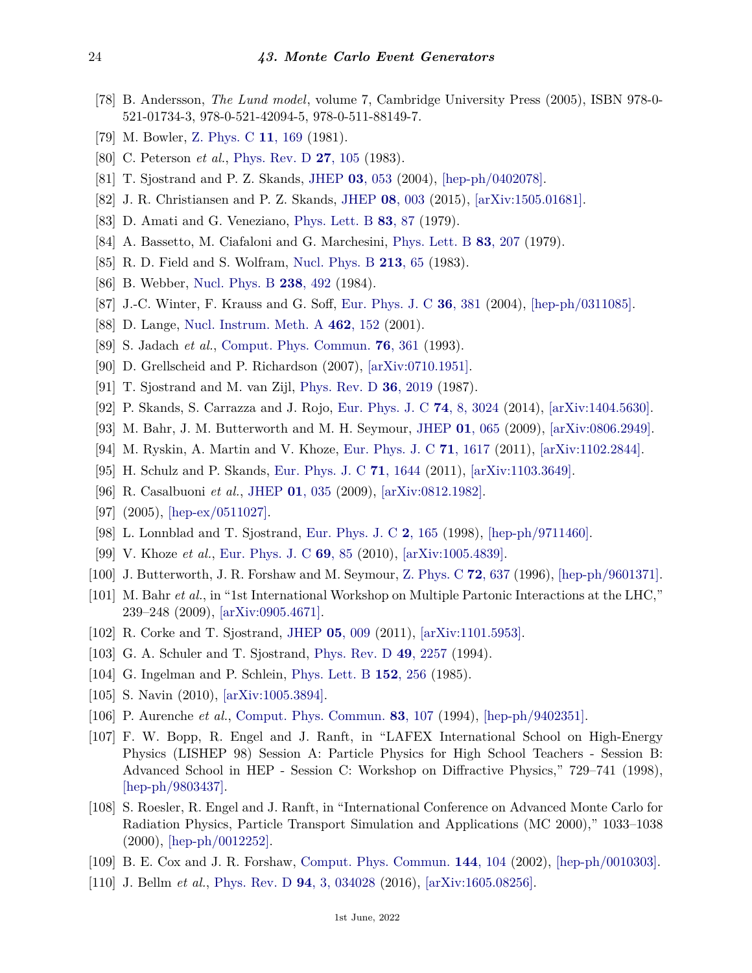- <span id="page-23-0"></span>[78] B. Andersson, *The Lund model*, volume 7, Cambridge University Press (2005), ISBN 978-0- 521-01734-3, 978-0-521-42094-5, 978-0-511-88149-7.
- <span id="page-23-1"></span>[79] M. Bowler, [Z. Phys. C](http://doi.org/10.1007/BF01574001) **11**[, 169](http://doi.org/10.1007/BF01574001) (1981).
- <span id="page-23-2"></span>[80] C. Peterson *et al.*, [Phys. Rev. D](http://doi.org/10.1103/PhysRevD.27.105) **27**[, 105](http://doi.org/10.1103/PhysRevD.27.105) (1983).
- <span id="page-23-3"></span>[81] T. Sjostrand and P. Z. Skands, [JHEP](http://doi.org/10.1088/1126-6708/2004/03/053) **03**[, 053](http://doi.org/10.1088/1126-6708/2004/03/053) (2004), [\[hep-ph/0402078\].](https://arxiv.org/abs/hep-ph/0402078)
- <span id="page-23-4"></span>[82] J. R. Christiansen and P. Z. Skands, [JHEP](http://doi.org/10.1007/JHEP08(2015)003) **08**[, 003](http://doi.org/10.1007/JHEP08(2015)003) (2015), [\[arXiv:1505.01681\].](https://arxiv.org/abs/1505.01681)
- <span id="page-23-5"></span>[83] D. Amati and G. Veneziano, [Phys. Lett. B](http://doi.org/10.1016/0370-2693(79)90896-7) **83**[, 87](http://doi.org/10.1016/0370-2693(79)90896-7) (1979).
- <span id="page-23-6"></span>[84] A. Bassetto, M. Ciafaloni and G. Marchesini, [Phys. Lett. B](http://doi.org/10.1016/0370-2693(79)90687-7) **83**[, 207](http://doi.org/10.1016/0370-2693(79)90687-7) (1979).
- <span id="page-23-7"></span>[85] R. D. Field and S. Wolfram, [Nucl. Phys. B](http://doi.org/10.1016/0550-3213(83)90175-X) **[213](http://doi.org/10.1016/0550-3213(83)90175-X)**, 65 (1983).
- <span id="page-23-8"></span>[86] B. Webber, [Nucl. Phys. B](http://doi.org/10.1016/0550-3213(84)90333-X) **238**[, 492](http://doi.org/10.1016/0550-3213(84)90333-X) (1984).
- <span id="page-23-9"></span>[87] J.-C. Winter, F. Krauss and G. Soff, [Eur. Phys. J. C](http://doi.org/10.1140/epjc/s2004-01960-8) **36**[, 381](http://doi.org/10.1140/epjc/s2004-01960-8) (2004), [\[hep-ph/0311085\].](https://arxiv.org/abs/hep-ph/0311085)
- <span id="page-23-10"></span>[88] D. Lange, [Nucl. Instrum. Meth. A](http://doi.org/10.1016/S0168-9002(01)00089-4) **462**[, 152](http://doi.org/10.1016/S0168-9002(01)00089-4) (2001).
- <span id="page-23-11"></span>[89] S. Jadach *et al.*, [Comput. Phys. Commun.](http://doi.org/10.1016/0010-4655(93)90061-G) **76**[, 361](http://doi.org/10.1016/0010-4655(93)90061-G) (1993).
- <span id="page-23-12"></span>[90] D. Grellscheid and P. Richardson (2007), [\[arXiv:0710.1951\].](https://arxiv.org/abs/0710.1951)
- <span id="page-23-13"></span>[91] T. Sjostrand and M. van Zijl, [Phys. Rev. D](http://doi.org/10.1103/PhysRevD.36.2019) **36**[, 2019](http://doi.org/10.1103/PhysRevD.36.2019) (1987).
- <span id="page-23-14"></span>[92] P. Skands, S. Carrazza and J. Rojo, [Eur. Phys. J. C](http://doi.org/10.1140/epjc/s10052-014-3024-y) **74**[, 8, 3024](http://doi.org/10.1140/epjc/s10052-014-3024-y) (2014), [\[arXiv:1404.5630\].](https://arxiv.org/abs/1404.5630)
- <span id="page-23-15"></span>[93] M. Bahr, J. M. Butterworth and M. H. Seymour, [JHEP](http://doi.org/10.1088/1126-6708/2009/01/065) **01**[, 065](http://doi.org/10.1088/1126-6708/2009/01/065) (2009), [\[arXiv:0806.2949\].](https://arxiv.org/abs/0806.2949)
- <span id="page-23-16"></span>[94] M. Ryskin, A. Martin and V. Khoze, [Eur. Phys. J. C](http://doi.org/10.1140/epjc/s10052-011-1617-2) **71**[, 1617](http://doi.org/10.1140/epjc/s10052-011-1617-2) (2011), [\[arXiv:1102.2844\].](https://arxiv.org/abs/1102.2844)
- <span id="page-23-17"></span>[95] H. Schulz and P. Skands, [Eur. Phys. J. C](http://doi.org/10.1140/epjc/s10052-011-1644-z) **71**[, 1644](http://doi.org/10.1140/epjc/s10052-011-1644-z) (2011), [\[arXiv:1103.3649\].](https://arxiv.org/abs/1103.3649)
- <span id="page-23-18"></span>[96] R. Casalbuoni *et al.*, [JHEP](http://doi.org/10.1088/1126-6708/2009/01/035) **01**[, 035](http://doi.org/10.1088/1126-6708/2009/01/035) (2009), [\[arXiv:0812.1982\].](https://arxiv.org/abs/0812.1982)
- <span id="page-23-19"></span>[97] (2005), [\[hep-ex/0511027\].](https://arxiv.org/abs/hep-ex/0511027)
- <span id="page-23-20"></span>[98] L. Lonnblad and T. Sjostrand, [Eur. Phys. J. C](http://doi.org/10.1007/s100520050131) **2**[, 165](http://doi.org/10.1007/s100520050131) (1998), [\[hep-ph/9711460\].](https://arxiv.org/abs/hep-ph/9711460)
- <span id="page-23-21"></span>[99] V. Khoze *et al.*, [Eur. Phys. J. C](http://doi.org/10.1140/epjc/s10052-010-1392-5) **69**[, 85](http://doi.org/10.1140/epjc/s10052-010-1392-5) (2010), [\[arXiv:1005.4839\].](https://arxiv.org/abs/1005.4839)
- <span id="page-23-22"></span>[100] J. Butterworth, J. R. Forshaw and M. Seymour, [Z. Phys. C](http://doi.org/10.1007/s002880050286) **72**[, 637](http://doi.org/10.1007/s002880050286) (1996), [\[hep-ph/9601371\].](https://arxiv.org/abs/hep-ph/9601371)
- <span id="page-23-23"></span>[101] M. Bahr *et al.*, in "1st International Workshop on Multiple Partonic Interactions at the LHC," 239–248 (2009), [\[arXiv:0905.4671\].](https://arxiv.org/abs/0905.4671)
- <span id="page-23-24"></span>[102] R. Corke and T. Sjostrand, [JHEP](http://doi.org/10.1007/JHEP05(2011)009) **05**[, 009](http://doi.org/10.1007/JHEP05(2011)009) (2011), [\[arXiv:1101.5953\].](https://arxiv.org/abs/1101.5953)
- <span id="page-23-25"></span>[103] G. A. Schuler and T. Sjostrand, [Phys. Rev. D](http://doi.org/10.1103/PhysRevD.49.2257) **49**[, 2257](http://doi.org/10.1103/PhysRevD.49.2257) (1994).
- <span id="page-23-26"></span>[104] G. Ingelman and P. Schlein, [Phys. Lett. B](http://doi.org/10.1016/0370-2693(85)91181-5) **152**[, 256](http://doi.org/10.1016/0370-2693(85)91181-5) (1985).
- <span id="page-23-27"></span>[105] S. Navin (2010), [\[arXiv:1005.3894\].](https://arxiv.org/abs/1005.3894)
- <span id="page-23-28"></span>[106] P. Aurenche *et al.*, [Comput. Phys. Commun.](http://doi.org/10.1016/0010-4655(94)90037-X) **83**[, 107](http://doi.org/10.1016/0010-4655(94)90037-X) (1994), [\[hep-ph/9402351\].](https://arxiv.org/abs/hep-ph/9402351)
- [107] F. W. Bopp, R. Engel and J. Ranft, in "LAFEX International School on High-Energy Physics (LISHEP 98) Session A: Particle Physics for High School Teachers - Session B: Advanced School in HEP - Session C: Workshop on Diffractive Physics," 729–741 (1998), [\[hep-ph/9803437\].](https://arxiv.org/abs/hep-ph/9803437)
- <span id="page-23-29"></span>[108] S. Roesler, R. Engel and J. Ranft, in "International Conference on Advanced Monte Carlo for Radiation Physics, Particle Transport Simulation and Applications (MC 2000)," 1033–1038 (2000), [\[hep-ph/0012252\].](https://arxiv.org/abs/hep-ph/0012252)
- <span id="page-23-31"></span><span id="page-23-30"></span>[109] B. E. Cox and J. R. Forshaw, [Comput. Phys. Commun.](http://doi.org/10.1016/S0010-4655(01)00467-2) **144**[, 104](http://doi.org/10.1016/S0010-4655(01)00467-2) (2002), [\[hep-ph/0010303\].](https://arxiv.org/abs/hep-ph/0010303)
- [110] J. Bellm *et al.*, [Phys. Rev. D](http://doi.org/10.1103/PhysRevD.94.034028) **94**[, 3, 034028](http://doi.org/10.1103/PhysRevD.94.034028) (2016), [\[arXiv:1605.08256\].](https://arxiv.org/abs/1605.08256)